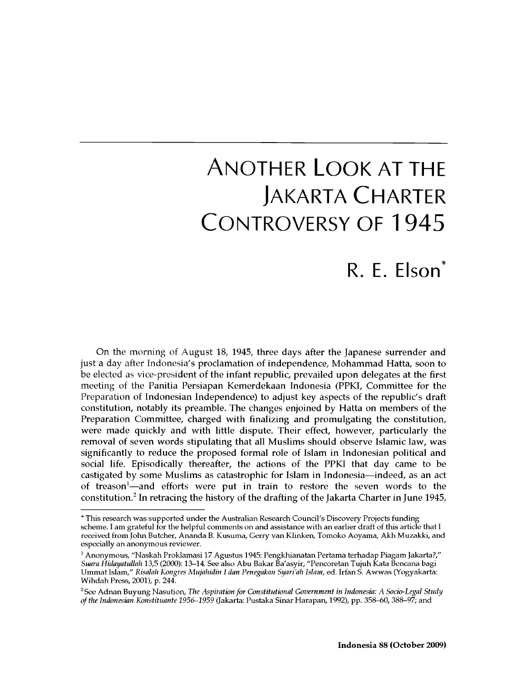# Another Look at the Jakarta Charter Controversy of 1945

## R. E. Elson\*

On the morning of August 18, 1945, three days after the Japanese surrender and just a day after Indonesia's proclamation of independence, Mohammad Hatta, soon to be elected as vice-president of the infant republic, prevailed upon delegates at the first meeting of the Panitia Persiapan Kemerdekaan Indonesia (PPKI, Committee for the Preparation of Indonesian Independence) to adjust key aspects of the republic's draft constitution, notably its preamble. The changes enjoined by Hatta on members of the Preparation Committee, charged with finalizing and promulgating the constitution, were made quickly and with little dispute. Their effect, however, particularly the removal of seven words stipulating that all Muslims should observe Islamic law, was significantly to reduce the proposed formal role of Islam in Indonesian political and social life. Episodically thereafter, the actions of the PPKI that day came to be castigated by some Muslims as catastrophic for Islam in Indonesia—indeed, as an act of treason<sup>1</sup>—and efforts were put in train to restore the seven words to the constitution.<sup>2</sup> In retracing the history of the drafting of the Jakarta Charter in June 1945,

**<sup>\*</sup> This research was supported under the Australian Research Council's Discovery Projects funding scheme. I am grateful for the helpful comments on and assistance with an earlier draft of this article that I received from John Butcher, Ananda B. Kusuma, Gerry van Klinken, Tomoko Aoyama, Akh Muzakki, and especially an anonymous reviewer.**

**<sup>1</sup> Anonymous, "Naskah Proklamasi 17 Agustus 1945: Pengkhianatan Pertama terhadap Piagam Jakarta?,"** *Suara Hidayatullah* **13,5 (2000): 13-14. See also Abu Bakar Ba'asyir, "Pencoretan Tujuh Kata Bencana bagi Ummat Islam,"** *Risalah Kongres Mujahidin I dan Penegakan Syari'ah Islam,* **ed. Irfan S. Awwas (Yogyakarta: Wihdah Press, 2001), p. 244.**

<sup>&</sup>lt;sup>2</sup> See Adnan Buyung Nasution, *The Aspiration for Constitutional Government in Indonesia: A Socio-Legal Study of the Indonesian Konstituante 1956-1959* **(Jakarta: Pustaka Sinar Harapan, 1992), pp. 358-60, 388-97; and**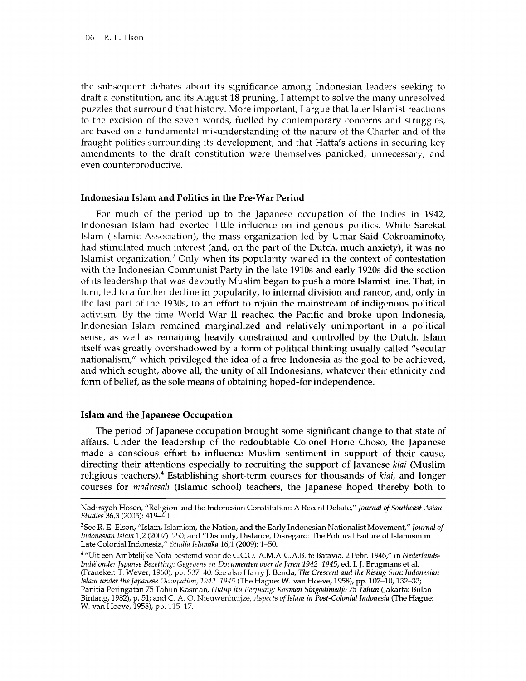the subsequent debates about its significance among Indonesian leaders seeking to draft a constitution, and its August 18 pruning, I attempt to solve the many unresolved puzzles that surround that history. More important, I argue that later Islamist reactions to the excision of the seven words, fuelled by contemporary concerns and struggles, are based on a fundamental misunderstanding of the nature of the Charter and of the fraught politics surrounding its development, and that Hatta's actions in securing key amendments to the draft constitution were themselves panicked, unnecessary, and even counterproductive.

#### **Indonesian Islam and Politics in the Pre-War Period**

For much of the period up to the Japanese occupation of the Indies in 1942, Indonesian Islam had exerted little influence on indigenous politics. While Sarekat Islam (Islamic Association), the mass organization led by Umar Said Cokroaminoto, had stimulated much interest (and, on the part of the Dutch, much anxiety), it was no Islamist organization. $3$  Only when its popularity waned in the context of contestation with the Indonesian Communist Party in the late 1910s and early 1920s did the section of its leadership that was devoutly Muslim began to push a more Islamist line. That, in turn, led to a further decline in popularity, to internal division and rancor, and, only in the last part of the 1930s, to an effort to rejoin the mainstream of indigenous political activism. By the time World War II reached the Pacific and broke upon Indonesia, Indonesian Islam remained marginalized and relatively unimportant in a political sense, as well as remaining heavily constrained and controlled by the Dutch. Islam itself was greatly overshadowed by a form of political thinking usually called "secular nationalism," which privileged the idea of a free Indonesia as the goal to be achieved, and which sought, above all, the unity of all Indonesians, whatever their ethnicity and form of belief, as the sole means of obtaining hoped-for independence.

#### **Islam and the Japanese Occupation**

The period of Japanese occupation brought some significant change to that state of affairs. Under the leadership of the redoubtable Colonel Horie Choso, the Japanese made a conscious effort to influence Muslim sentiment in support of their cause, directing their attentions especially to recruiting the support of Javanese *kiai* (Muslim religious teachers).4 Establishing short-term courses for thousands of *kiai,* and longer courses for *madrasah* (Islamic school) teachers, the Japanese hoped thereby both to

**Nadirsyah Hosen, "Religion and the Indonesian Constitution: A Recent Debate,"** *Journal of Southeast Asian Studies* **36,3 (2005): 419-40.**

**<sup>3</sup> See R. E. Elson, "Islam, Islamism, the Nation, and the Early Indonesian Nationalist Movement,"** *Journal of Indonesian Islam* **1,2 (2007): 250; and "Disunity, Distance, Disregard: The Political Failure of Islamism in Late Colonial Indonesia,"** *Studia Islamika* **16,1 (2009): 1-50.**

**<sup>4 &</sup>quot;Uit een Ambtelijke Nota bestemd voor de C.C.O.-A.M.A-C.A.B. te Batavia. 2 Febr. 1946," in** *Nederlands-Indie onder Japanse Bezetting: Gegevens en Documenten over de Jaren 1942-1945,* **ed. I. J. Brugmans et al. (Franeker: T. Wever, 1960), pp. 537-40. See also Harry J. Benda,** *The Crescent and the Rising Sun: Indonesian Islam under the Japanese Occupation, 1942-1945* **(The Hague: W. vanHoeve, 1958), pp. 107-10,132-33; Panitia Peringatan 75 Tahun Kasman,** *Hidup itu Berjuang: Kasman Singodimedjo 75 Tahun* **(fakarta: Bulan Bintang, 1982), p. 51; and C. A. O. Nieuwenhuijze,** *Aspects of Islam in Post-Colonial Indonesia* **(The Hague: W. van Hoeve, 1958), pp. 115-17.**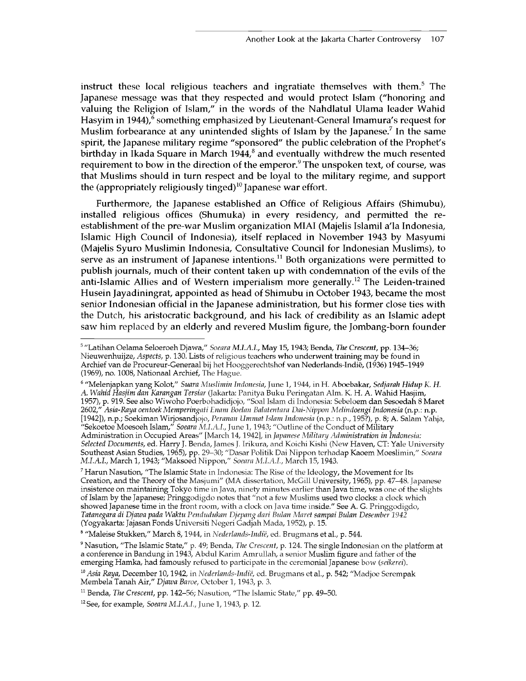instruct these local religious teachers and ingratiate themselves with them.<sup>5</sup> The Japanese message was that they respected and would protect Islam ("honoring and valuing the Religion of Islam," in the words of the Nahdlatul Ulama leader Wahid Hasyim in 1944),<sup>6</sup> something emphasized by Lieutenant-General Imamura's request for Muslim forbearance at any unintended slights of Islam by the Japanese.<sup>7</sup> In the same spirit, the Japanese military regime "sponsored" the public celebration of the Prophet's birthday in Ikada Square in March  $1944$ <sup>8</sup> and eventually withdrew the much resented requirement to bow in the direction of the emperor.<sup>9</sup> The unspoken text, of course, was that Muslims should in turn respect and be loyal to the military regime, and support the (appropriately religiously tinged)<sup>10</sup> Japanese war effort.

Furthermore, the Japanese established an Office of Religious Affairs (Shimubu), installed religious offices (Shumuka) in every residency, and permitted the reestablishment of the pre-war Muslim organization MIAI (Majelis Islamil a'la Indonesia, Islamic High Council of Indonesia), itself replaced in November 1943 by Masyumi (Majelis Syuro Muslimin Indonesia, Consultative Council for Indonesian Muslims), to serve as an instrument of Japanese intentions.<sup>11</sup> Both organizations were permitted to publish journals, much of their content taken up with condemnation of the evils of the anti-Islamic Allies and of Western imperialism more generally.<sup>12</sup> The Leiden-trained Husein Jayadiningrat, appointed as head of Shimubu in October 1943, became the most senior Indonesian official in the Japanese administration, but his former close ties with the Dutch, his aristocratic background, and his lack of credibility as an Islamic adept saw him replaced by an elderly and revered Muslim figure, the Jombang-born founder

**6 "Melenjapkan yang Kolot,"** *Suara Muslimin Indonesia,* **June 1,1944, in H. Aboebakar,** *Sedjarah Hidup K. H. A. Wahid Hasjim dan Karangan Tersiar* **(Jakarta: Panitya Buku Peringatan Aim. K. H. A. Wahid Hasjim, 1957), p. 919. See also Wiwoho Poerbohadidjojo, "Soal Islam di Indonesia: Sebeloem dan Sesoedah 8 Maret 2602,"** *Asia-Raya oentoek Memperingati Enam Boelan Balatentara Dai-Nippon Melindoengi Indonesia* **(n.p.: n.p. [1942]), n.p.; Soekiman Wirjosandjojo,** *Peranan Ummat Islam Indonesia* **(n.p.: n.p., 195?), p. 8; A. Salam Yahja, "Sekoetoe Moesoeh Islam,"** *Soeara M.I.A.I.,* **June 1,1943; "Outline of the Conduct of Military Administration in Occupied Areas" [March 14,1942], in** *]apanese Military Administration in Indonesia: Selected Documents,* **ed. Harry J. Benda, James J. Irikura, and Koichi Kishi (New Haven, CT: Yale University Southeast Asian Studies, 1965), pp. 29-30; "Dasar Politik Dai Nippon terhadap Kaoem Moeslimin,"** *Soeara M.I.A.I.,* **March 1,1943; "Maksoed Nippon,"** *Soeara M.I.A.I.,* **March 15,1943.**

**7 Harun Nasution, "The Islamic State in Indonesia: The Rise of the Ideology, the Movement for Its Creation, and the Theory of the Masjumi" (MA dissertation, McGill University, 1965), pp. 47-48. Japanese insistence on maintaining Tokyo time in Java, ninety minutes earlier than Java time, was one of the slights of Islam by the Japanese; Pringgodigdo notes that "not a few Muslims used two clocks: a clock which showed Japanese time in the front room, with a clock on Java time inside." See A. G. Pringgodigdo,** *Tatanegara di Djawa pada Waktu Pendudukan Djepang dari Bulan Maret sampai Bulan Desember 1942* **(Yogyakarta: Jajasan Fonds Universiti Negeri Gadjah Mada, 1952), p. 15.**

**8 "Maleise Stukken," March 8,1944, in** *Nederlands-Indie,* **ed. Brugmans et al., p. 544.**

**<sup>5 &</sup>quot;Latihan Oelama Seloeroeh Djawa,"** *Soeara* **May 15,1943; Benda,** *The Crescent,* **pp. 134—36; Nieuwenhuijze,** *Aspects,* **p. 130. Lists of religious teachers who underwent training may be found in Archief van de Procureur-Generaal bij het Hooggerechtshof van Nederlands-Indie, (1936) 1945-1949 (1969), no. 1008, Nationaal Archief, The Hague.**

**<sup>9</sup> Nasution, "The Islamic State," p. 49; Benda,** *The Crescent,* **p. 124. The single Indonesian on the platform at a conference in Bandung in 1943, Abdul Karim Amrullah, a senior Muslim figure and father of the emerging Hamka, had famously refused to participate in the ceremonial Japanese bow (s***eikeret).*

**<sup>10</sup>** *Asia Raya,* **December 10,1942, in** *Nederlands-Indie,* **ed. Brugmans et al., p. 542; "Madjoe Serempak Membela Tanah Air,"** *Djawa Baroe,* **October 1,1943, p. 3.**

**<sup>11</sup> Benda,** *The Crescent,* **pp. 142-56; Nasution, "The Islamic State," pp. 49-50.**

**<sup>12</sup> See, for example,** *Soeara M.I.A.I.,* **June 1,1943, p. 12.**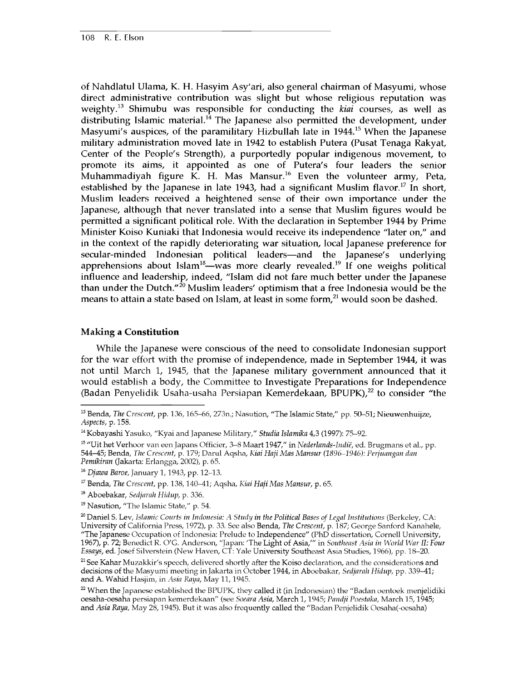of Nahdlatul Ulama, K. H. Hasyim Asy'ari, also general chairman of Masyumi, whose direct administrative contribution was slight but whose religious reputation was weighty.13 Shimubu was responsible for conducting the *kiai* courses, as well as distributing Islamic material.<sup>14</sup> The Japanese also permitted the development, under Masyumi's auspices, of the paramilitary Hizbullah late in  $1944$ <sup>15</sup> When the Japanese military administration moved late in 1942 to establish Putera (Pusat Tenaga Rakyat, Center of the People's Strength), a purportedly popular indigenous movement, to promote its aims, it appointed as one of Putera's four leaders the senior Muhammadiyah figure  $\widetilde{K}$ . H. Mas Mansur.<sup>16</sup> Even the volunteer army, Peta, established by the Japanese in late 1943, had a significant Muslim flavor.<sup>17</sup> In short, Muslim leaders received a heightened sense of their own importance under the Japanese, although that never translated into a sense that Muslim figures would be permitted a significant political role. With the declaration in September 1944 by Prime Minister Koiso Kuniaki that Indonesia would receive its independence "later on," and in the context of the rapidly deteriorating war situation, local Japanese preference for secular-minded Indonesian political leaders—and the Japanese's underlying apprehensions about Islam<sup>18</sup>—was more clearly revealed.<sup>19</sup> If one weighs political influence and leadership, indeed, "Islam did not fare much better under the Japanese than under the Dutch."<sup>20</sup> Muslim leaders' optimism that a free Indonesia would be the means to attain a state based on Islam, at least in some form, $^{21}$  would soon be dashed.

#### **Making a Constitution**

While the Japanese were conscious of the need to consolidate Indonesian support for the war effort with the promise of independence, made in September 1944, it was not until March 1, 1945, that the Japanese military government announced that it would establish a body, the Committee to Investigate Preparations for Independence (Badan Penyelidik Usaha-usaha Persiapan Kemerdekaan, BPUPK),<sup>22</sup> to consider "the

**<sup>13</sup> Benda,** *The Crescent,* **pp. 136,165-66, 273n.; Nasution, "The Islamic State," pp. 50-51; Nieuwenhuijze,** *Aspects,* **p. 158.**

**<sup>14</sup> Kobayashi Yasuko, "Kyai and Japanese Military,"** *Studia Islamika* **4,3 (1997): 75-92.**

**<sup>15 &</sup>quot;Uit het Verhoor van een Japans Officier, 3-8 Maart 1947," in** *Nederlands-Indie,* **ed. Brugmans et al., pp. 544-45; Benda,** *The Crescent,* **p. 179; Darul Aqsha,** *Kiai Haji Mas Mansur (1896-1946): Perjuangan dan Pemikiran* **(Jakarta: Erlangga, 2002), p. 65.**

<sup>16</sup> *Djawa Baroe,* **January 1,1943, pp. 12-13.**

**<sup>17</sup> Benda,** *The Crescent,* **pp. 138,140-41; Aqsha,** *Kiai Haji Mas Mansur,* **p. 65.**

**<sup>18</sup> Aboebakar,** *Sedjarah Hidup,* **p. 336.**

**<sup>19</sup> Nasution, "The Islamic State," p. 54.**

**<sup>20</sup> Daniel S. Lev,** *Islamic Courts in Indonesia: A Study in the Political Bases of Legal Institutions* **(Berkeley, CA: University of California Press, 1972), p. 33. See also Benda,** *The Crescent,* **p. 187; George Sanford Kanahele, "The Japanese Occupation of Indonesia: Prelude to Independence" (PhD dissertation, Cornell University, 1967), p. 72; Benedict R. O'G. Anderson, "Japan: 'The Light of Asia/" in** *Southeast Asia in World War II: Four Essays,* **ed. Josef Silverstein (New Haven, CT: Yale University Southeast Asia Studies, 1966), pp. 18-20.**

**<sup>21</sup> See Kahar Muzakkir's speech, delivered shortly after the Koiso declaration, and the considerations and decisions of the Masyumi meeting in Jakarta in October 1944, in Aboebakar,** *Sedjarah Hidup,* **pp. 339-41; and A. Wahid Hasjim, in** *Asia Raya,* **May 11,1945.**

**<sup>22</sup> When the Japanese established the BPUPK, they called it (in Indonesian) the "Badan oentoek menjelidiki oesaha-oesaha persiapan kemerdekaan" (see** *Soeara Asia,* **March 1,1945;** *Pandji Poestaka,* **March 15,1945; and** *Asia Raya,* **May 28,1945). But it was also frequently called the "Badan Penjelidik Oesaha(-oesaha)**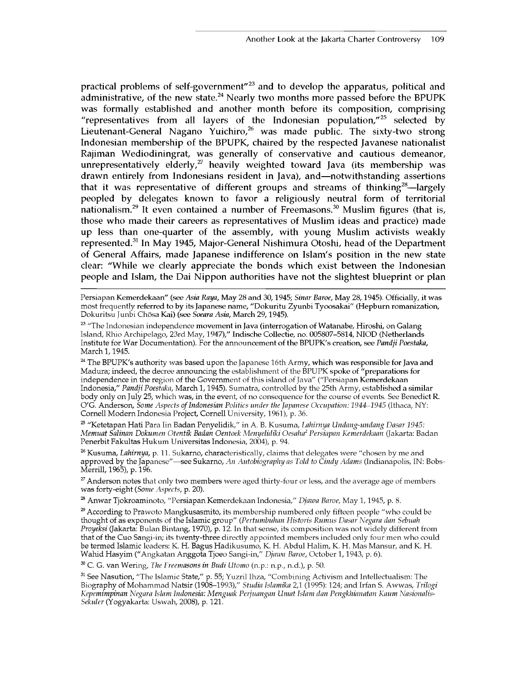practical problems of self-government"23 and to develop the apparatus, political and administrative, of the new state.<sup>24</sup> Nearly two months more passed before the BPUPK was formally established and another month before its composition, comprising "representatives from all layers of the Indonesian population, $v^{25}$  selected by Lieutenant-General Nagano Yuichiro,<sup>26</sup> was made public. The sixty-two strong Indonesian membership of the BPUPK, chaired by the respected Javanese nationalist Rajiman Wediodiningrat, was generally of conservative and cautious demeanor, unrepresentatively elderly, $27$  heavily weighted toward Java (its membership was drawn entirely from Indonesians resident in Java), and—notwithstanding assertions that it was representative of different groups and streams of thinking<sup>28</sup>—largely peopled by delegates known to favor a religiously neutral form of territorial nationalism.<sup>29</sup> It even contained a number of Freemasons.<sup>30</sup> Muslim figures (that is, those who made their careers as representatives of Muslim ideas and practice) made up less than one-quarter of the assembly, with young Muslim activists weakly represented.31 In May 1945, Major-General Nishimura Otoshi, head of the Department of General Affairs, made Japanese indifference on Islam's position in the new state clear: "While we clearly appreciate the bonds which exist between the Indonesian people and Islam, the Dai Nippon authorities have not the slightest blueprint or plan

**Persiapan Kemerdekaan" (see** *Asia Raya,* **May 28 and 30,1945;** *Sinar Baroe,* **May 28,1945). Officially, it was most frequently referred to by its Japanese name, "Dokuritu Zyunbi Tyoosakai" (Hepburn romanization, Dokuritsu Junbi Chosa Kai) (see** *Soeara Asia,* **March 29,1945).**

**23 "The Indonesian independence movement in Java (interrogation of Watanabe, Hiroshi, on Galang Island, Rhio Archipelago, 23rd May, 1947)," Indische Collectie, no. 005807-5814, NIOD (Netherlands Institute for War Documentation). For the announcement of the BPUPK's creation, see** *Pandji Poestaka,* **March 1,1945.**

**24 The BPUPK's authority was based upon the Japanese 16th Army, which was responsible for Java and Madura; indeed, the decree announcing the establishment of the BPUPK spoke of "preparations for independence in the region of the Government of this island of Java" ("Persiapan Kemerdekaan Indonesia,"** *Pandji Poestaka,* **March 1,1945). Sumatra, controlled by the 25th Army, established a similar body only on July 25, which was, in the event, of no consequence for the course of events. See Benedict R. O'G. Anderson,** *Some Aspects of Indonesian Politics under the Japanese Occupation: 1944—1945* **(Ithaca, NY: Cornell Modern Indonesia Project, Cornell University, 1961), p. 36.**

**25 "Ketetapan Hati Para Iin Badan Penyelidik," in A. B. Kusuma,** *Lahirnya Undang-undang Dasar 1945: Memuat Salinan Dokumen Otentik Badan Oentoek Menyelidiki Oesaha2 Persiapan Kemerdekaan* **(Jakarta: Badan** Penerbit Fakultas Hukum Universitas Indonesia, 2004), p. 94.

**26 Kusuma,** *Lahirnya,* **p. 11. Sukarno, characteristically, claims that delegates were "chosen by me and approved by the Japanese"—see Sukarno,** *An Autobiography as Told to Cindy Adams* **(Indianapolis, IN: Bobs-Merrill, 1965), p. 196.**

**27 Anderson notes that only two members were aged thirty-four or less, and the average age of members was forty-eight (***Some Aspects,* **p. 20).**

**28 Anwar Tjokroaminoto, "Persiapan Kemerdekaan Indonesia,"** *Djawa Baroe,* **May 1,1945, p. 8.**

**29 According to Prawoto Mangkusasmito, its membership numbered only fifteen people "who could be thought of as exponents of the Islamic group" (***Pertumbuhan Historis Rumus Dasar Negara dan Sebuah Proyeksi* **(Jakarta: Bulan Bintang, 1970), p. 12. In that sense, its composition was not widely different from that of the Cuo Sangi-in; its twenty-three directly appointed members included only four men who could be termed Islamic leaders: K. H. Bagus Hadikusumo, K. H. Abdul Halim, K. H. Mas Mansur, and K. H. Wahid Hasyim ("Angkatan Anggota Tjoeo Sangi-in,"** *Djawa Baroe,* **October 1,1943, p. 6).**

**30 C. G. van Wering,** *The Treemasons in Budi Utomo* **(n.p.: n.p., n.d.), p. 50.**

**31 See Nasution, "The Islamic State," p. 55; Yuzril Ihza, "Combining Activism and Intellectualism: The Biography of Mohammad Natsir (1908-1993),"** *Studia Islamika* **2,1 (1995): 124; and Irfan S. Awwas,** *Trilogi Kepemimpinan Negara Islam Indonesia: Menguak Perjuangan Umat Islam dan Pengkhianatan Kaum Nasionalis-Sekuler* **(Yogyakarta: Uswah, 2008), p. 121.**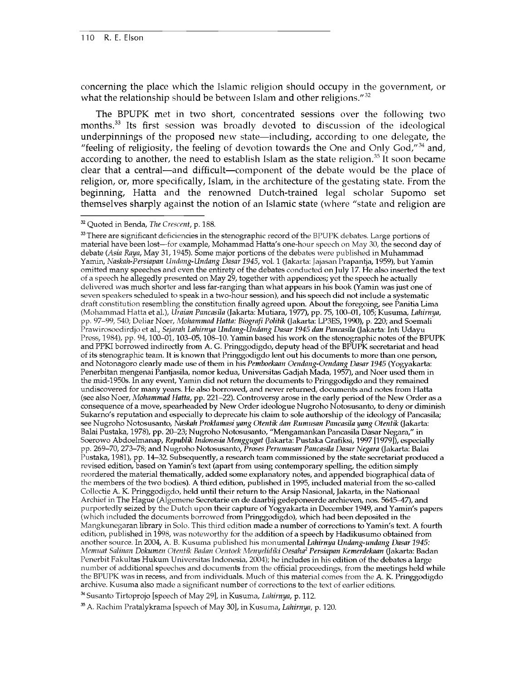concerning the place which the Islamic religion should occupy in the government, or what the relationship should be between Islam and other religions." $32$ 

The BPUPK met in two short, concentrated sessions over the following two months.<sup>33</sup> Its first session was broadly devoted to discussion of the ideological underpinnings of the proposed new state—including, according to one delegate, the "feeling of religiosity, the feeling of devotion towards the One and Only God, $^{\prime\prime}$ <sup>34</sup> and, according to another, the need to establish Islam as the state religion.<sup>35</sup> It soon became clear that a central—and difficult—component of the debate would be the place of religion, or, more specifically, Islam, in the architecture of the gestating state. From the beginning, Hatta and the renowned Dutch-trained legal scholar Supomo set themselves sharply against the notion of an Islamic state (where "state and religion are

**33 There are significant deficiencies in the stenographic record of the BPUPK debates. Large portions of material have been lost—for example, Mohammad Hatta's one-hour speech on May 30, the second day of debate** *(Asia Raya,* **May 31,1945). Some major portions of the debates were published in Muhammad Yamin,** *Naskah-Persiapan Undang-Undang Dasar 1945,* **vol. 1 (Jakarta: Jajasan Prapantja, 1959), but Yamin omitted many speeches and even the entirety of the debates conducted on July 17. He also inserted the text of a speech he allegedly presented on May 29, together with appendices; yet the speech he actually delivered was much shorter and less far-ranging than what appears in his book (Yamin was just one of seven speakers scheduled to speak in a two-hour session), and his speech did not include a systematic draft constitution resembling the constitution finally agreed upon. About the foregoing, see Panitia Lima (Mohammad Hatta et al.),** *Uraian Pancasila* **(Jakarta: Mutiara, 1977), pp. 75,100-01,105; Kusuma,** *Lahirnya,* **pp. 97-99, 540; Deliar Noer,** *Mohammad Hatta: Biografi Politik* **(Jakarta: LP3ES, 1990), p. 220; and Soemali Prawirosoedirdjo et al.,** *Sejarah Lahirnya Undang-Undang Dasar 1945 dan Pancasila* **(Jakarta: Inti Udayu Press, 1984), pp. 94,100-01,103-05,108-10. Yamin based his work on the stenographic notes of the BPUPK and PPKI borrowed indirectly from A. G. Pringgodigdo, deputy head of the BPUPK secretariat and head of its stenographic team. It is known that Pringgodigdo lent out his documents to more than one person, and Notonagoro clearly made use of them in his** *Pemboekaan Oendang-Oendang Dasar 1945* **(Yogyakarta: Penerbitan mengenai Pantjasila, nomor kedua, Universitas Gadjah Mada, 1957), and Noer used them in the mid-1950s. In any event, Yamin did not return the documents to Pringgodigdo and they remained undiscovered for many years. He also borrowed, and never returned, documents and notes from Hatta (see also Noer,** *Mohammad Hatta,* **pp. 221-22). Controversy arose in the early period of the New Order as a consequence of a move, spearheaded by New Order ideologue Nugroho Notosusanto, to deny or diminish Sukarno's reputation and especially to deprecate his claim to sole authorship of the ideology of Pancasila; see Nugroho Notosusanto,** *Naskah Proklamasi yang Otentik dan Rumusan Pancasila yang Otentik* **(Jakarta: Balai Pustaka, 1978), pp. 20-23; Nugroho Notosusanto, "Mengamankan Pancasila Dasar Negara," in Soerowo Abdoelmanap,** *Republik Indonesia Menggugat* **(Jakarta: Pustaka Grafiksi, 1997 [1979]), especially pp. 269-70, 273-78; and Nugroho Notosusanto,** *Proses Perumusan Pancasila Dasar Negara* **(Jakarta: Balai Pustaka, 1981), pp. 14-32. Subsequently, a research team commissioned by the state secretariat produced a revised edition, based on Yamin's text (apart from using contemporary spelling, the edition simply reordered the material thematically, added some explanatory notes, and appended biographical data of the members of the two bodies). A third edition, published in 1995, included material from the so-called Collectie A. K. Pringgodigdo, held until their return to the Arsip Nasional, Jakarta, in the Nationaal Archief in The Hague (Algemene Secretarie en de daarbij gedeponeerde archieven, nos. 5645—47), and purportedly seized by the Dutch upon their capture of Yogyakarta in December 1949, and Yamin's papers (which included the documents borrowed from Pringgodigdo), which had been deposited in the Mangkunegaran library in Solo. This third edition made a number of corrections to Yamin's text. A fourth edition, published in 1998, was noteworthy for the addition of a speech by Hadikusumo obtained from another source. In 2004, A. B. Kusuma published his monumental** *Lahirnya Undang-undang Dasar 1945: Memuat Salinan Dokumen Otentik Badan Oentoek Menyelidiki Oesaha2 Persiapan Kemerdekaan* **(Jakarta: Badan Penerbit Fakultas Hukum Universitas Indonesia, 2004); he includes in his edition of the debates a large number of additional speeches and documents from the official proceedings, from the meetings held while the BPUPK was in recess, and from individuals. Much of this material comes from the A. K. Pringgodigdo archive. Kusuma also made a significant number of corrections to the text of earlier editions.**

**^Susanto Tirtoprojo [speech of May 29], in Kusuma,** *Lahirnya,* **p. 112.**

**35 A. Rachim Pratalykrama [speech of May 30], in Kusuma,** *Lahirnya,* **p. 120.**

**<sup>32</sup> Quoted in Benda,** *The Crescent,* **p. 188.**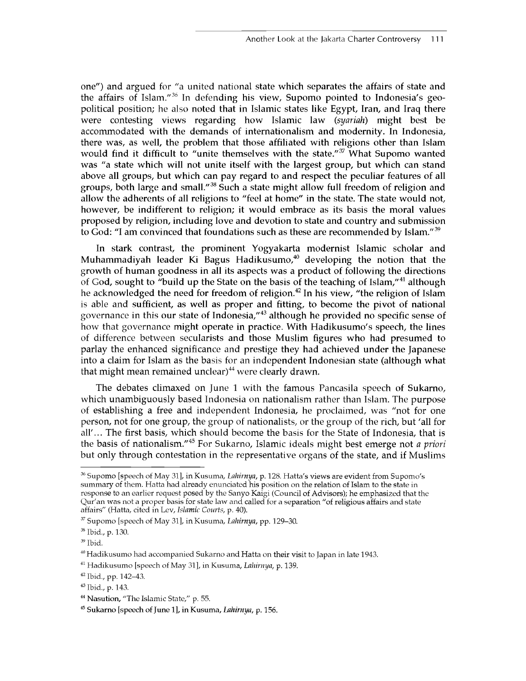one") and argued for "a united national state which separates the affairs of state and the affairs of Islam."36 In defending his view, Supomo pointed to Indonesia's geopolitical position; he also noted that in Islamic states like Egypt, Iran, and Iraq there were contesting views regarding how Islamic law (*syariah*) might best be accommodated with the demands of internationalism and modernity. In Indonesia, there was, as well, the problem that those affiliated with religions other than Islam would find it difficult to "unite themselves with the state."<sup>37</sup> What Supomo wanted was "a state which will not unite itself with the largest group, but which can stand above all groups, but which can pay regard to and respect the peculiar features of all groups, both large and small."38 Such a state might allow full freedom of religion and allow the adherents of all religions to "feel at home" in the state. The state would not, however, be indifferent to religion; it would embrace as its basis the moral values proposed by religion, including love and devotion to state and country and submission to God: "I am convinced that foundations such as these are recommended by Islam."<sup>39</sup>

In stark contrast, the prominent Yogyakarta modernist Islamic scholar and Muhammadiyah leader Ki Bagus Hadikusumo, $40$  developing the notion that the growth of human goodness in all its aspects was a product of following the directions of God, sought to "build up the State on the basis of the teaching of Islam,"<sup>41</sup> although he acknowledged the need for freedom of religion.<sup>42</sup> In his view, "the religion of Islam is able and sufficient, as well as proper and fitting, to become the pivot of national governance in this our state of Indonesia,"43 although he provided no specific sense of how that governance might operate in practice. With Hadikusumo's speech, the lines of difference between secularists and those Muslim figures who had presumed to parlay the enhanced significance and prestige they had achieved under the Japanese into a claim for Islam as the basis for an independent Indonesian state (although what that might mean remained unclear) $44$  were clearly drawn.

The debates climaxed on June 1 with the famous Pancasila speech of Sukarno, which unambiguously based Indonesia on nationalism rather than Islam. The purpose of establishing a free and independent Indonesia, he proclaimed, was "not for one person, not for one group, the group of nationalists, or the group of the rich, but 'all for all'... The first basis, which should become the basis for the State of Indonesia, that is the basis of nationalism."45 For Sukarno, Islamic ideals might best emerge not *a priori* but only through contestation in the representative organs of the state, and if Muslims

**<sup>36</sup> Supomo [speech of May 31], in Kusuma,** *Lahirnya,* **p. 128. Hatta's views are evident from Supomo's summary of them. Hatta had already enunciated his position on the relation of Islam to the state in response to an earlier request posed by the Sanyo Kaigi (Council of Advisors); he emphasized that the Qur'an was not a proper basis for state law and called for a separation "of religious affairs and state affairs" (Hatta, cited in Lev,** *Islamic Courts,* **p. 40).**

**<sup>37</sup> Supomo [speech of May 31], in Kusuma,** *Lahirnya,* **pp. 129-30.**

**<sup>35</sup> Ibid., p. 130.**

**<sup>39</sup> Ibid.**

**<sup>40</sup> Hadikusumo had accompanied Sukarno and Hatta on their visit to Japan in late 1943.**

**<sup>41</sup> Hadikusumo [speech of May 31], in Kusuma,** *Lahirnya,* **p. 139.**

**<sup>42</sup> Ibid., pp. 142-43.**

**<sup>43</sup> Ibid., p. 143.**

**<sup>44</sup> Nasution, "The Islamic State," p. 55.**

**<sup>45</sup> Sukarno [speech of June 1], in Kusuma,** *Lahirnya,* **p. 156.**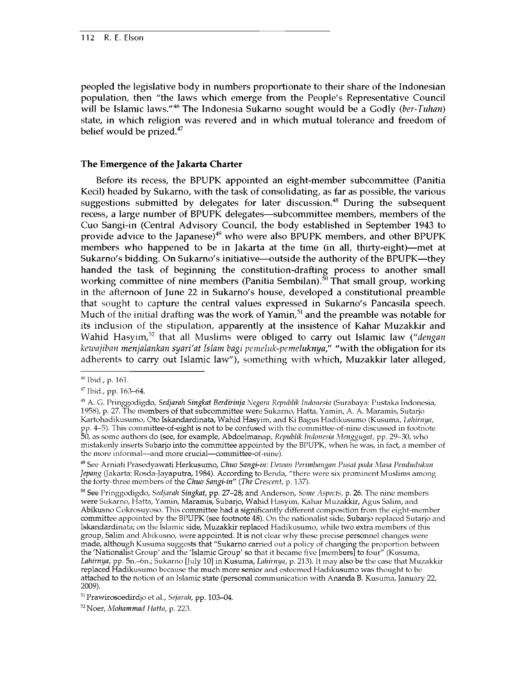peopled the legislative body in numbers proportionate to their share of the Indonesian population, then "the laws which emerge from the People's Representative Council will be Islamic laws."46 The Indonesia Sukarno sought would be a Godly (*ber-Tuhan*) state, in which religion was revered and in which mutual tolerance and freedom of belief would be prized.<sup>47</sup>

#### **The Emergence of the Jakarta Charter**

Before its recess, the BPUPK appointed an eight-member subcommittee (Panitia Kecil) headed by Sukarno, with the task of consolidating, as far as possible, the various suggestions submitted by delegates for later discussion.<sup>48</sup> During the subsequent recess, a large number of BPUPK delegates—subcommittee members, members of the Cuo Sangi-in (Central Advisory Council, the body established in September 1943 to provide advice to the Japanese)<sup>49</sup> who were also BPUPK members, and other BPUPK members who happened to be in Jakarta at the time (in all, thirty-eight)—met at Sukarno's bidding. On Sukarno's initiative—outside the authority of the BPUPK—they handed the task of beginning the constitution-drafting process to another small working committee of nine members (Panitia Sembilan).<sup>50</sup> That small group, working in the afternoon of June 22 in Sukarno's house, developed a constitutional preamble that sought to capture the central values expressed in Sukarno's Pancasila speech. Much of the initial drafting was the work of Yamin, $51$  and the preamble was notable for its inclusion of the stipulation, apparently at the insistence of Kahar Muzakkir and Wahid Hasyim,52 that all Muslims were obliged to carry out Islamic law ("*dengan kewajiban menjalankan syari'at Islam bagi pemeluk-pemeluknya,"* "with the obligation for its adherents to carry out Islamic law"), something with which, Muzakkir later alleged,

**<sup>46</sup> Ibid., p. 161.**

**<sup>47</sup> Ibid., pp. 163-64.**

**<sup>48</sup> A. G. Pringgodigdo,** *Sedjarah Singkat Berdirinja Negara Republik Indonesia* **(Surabaya: Pustaka Indonesia, 1958), p. 27. The members of that subcommittee were Sukarno, Hatta, Yamin, A. A. Maramis, Sutarjo Kartohadikusumo, Oto Iskandardinata, Wahid Hasyim, and Ki Bagus Hadikusumo (Kusuma,** *Lahirnya,* **pp. 4-5). This committee-of-eight is not to be confused with the committee-of-nine discussed in footnote 50, as some authors do (see, for example, Abdoelmanap,** *Republik Indonesia Menggugat,* **pp. 29-30, who mistakenly inserts Subarjo into the committee appointed by the BPUPK, when he was, in fact, a member of the more informal—and more crucial—committee-of-nine).**

**<sup>49</sup> See Arniati Prasedyawati Herkusumo,** *Chuo Sangi-in: Dewan Perimbangan Pusat pada Masa Pendudukan Jepang* **(Jakarta: Rosda-Jayaputra, 1984). According to Benda, "there were six prominent Muslims among the forty-three members of the** *Chuo Sangi-in" (The Crescent,* **p. 137).**

**<sup>50</sup> See Pringgodigdo,** *Sedjarah Singkat,* **pp. 27-28; and Anderson,** *Some Aspects,* **p. 26. The nine members were Sukarno, Hatta, Yamin, Maramis, Subarjo, Wahid Hasyim, Kahar Muzakkir, Agus Salim, and Abikusno Cokrosuyoso. This committee had a significantly different composition from the eight-member committee appointed by the BPUPK (see footnote 48). On the nationalist side, Subarjo replaced Sutarjo and Iskandardinata; on the Islamic side, Muzakkir replaced Hadikusumo, while two extra members of this group, Salim and Abikusno, were appointed. It is not clear why these precise personnel changes were made, although Kusuma suggests that "Sukarno carried out a policy of changing the proportion between the 'Nationalist Group' and the 'Islamic Group' so that it became five [members] to four" (Kusuma,** *Lahirnya,* **pp. 5n.-6n.; Sukarno [July 10] in Kusuma,** *Lahirnya,* **p. 213). It may also be the case that Muzakkir replaced Hadikusumo because the much more senior and esteemed Hadikusumo was thought to be attached to the notion of an Islamic state (personal communication with Ananda B. Kusuma, January 22, 2009).**

**<sup>51</sup> Prawirosoedirdjo et al.,** *Sejarah,* **pp. 103-04.**

**<sup>52</sup>Noer,** *Mohammad Hatta,* **p. 223.**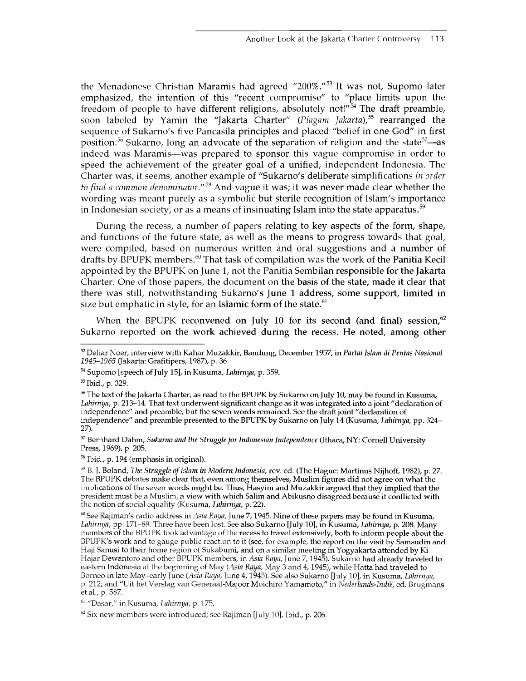the Menadonese Christian Maramis had agreed "200%."<sup>53</sup> It was not, Supomo later emphasized, the intention of this "recent compromise" to "place limits upon the freedom of people to have different religions, absolutely not! $\overline{54}$  The draft preamble, soon labeled by Yamin the "Jakarta Charter" *(Piagam Jakarta),55* rearranged the sequence of Sukarno's five Pancasila principles and placed "belief in one God" in first position.<sup>56</sup> Sukarno, long an advocate of the separation of religion and the state<sup>57</sup>—as indeed was Maramis—was prepared to sponsor this vague compromise in order to speed the achievement of the greater goal of a unified, independent Indonesia. The Charter was, it seems, another example of "Sukarno's deliberate simplifications *in order to find a common denominator."58* And vague it was; it was never made clear whether the wording was meant purely as a symbolic but sterile recognition of Islam's importance in Indonesian society, or as a means of insinuating Islam into the state apparatus.<sup>59</sup>

During the recess, a number of papers relating to key aspects of the form, shape, and functions of the future state, as well as the means to progress towards that goal, were compiled, based on numerous written and oral suggestions and a number of drafts by BPUPK members.<sup>60</sup> That task of compilation was the work of the Panitia Kecil appointed by the BPUPK on June 1, not the Panitia Sembilan responsible for the Jakarta Charter. One of those papers, the document on the basis of the state, made it clear that there was still, notwithstanding Sukarno's June 1 address, some support, limited in size but emphatic in style, for an Islamic form of the state. $61$ 

When the BPUPK reconvened on July 10 for its second (and final) session,  $62$ Sukarno reported on the work achieved during the recess. He noted, among other

**<sup>53</sup> Deliar Noer, interview with Kahar Muzakkir, Bandung, December 1957, in** *Partai Islam di Pentas Nasional 1945-1965* **(Jakarta: Grafitipers, 1987), p. 36.**

**<sup>54</sup> Supomo [speech of July 15], in Kusuma,** *Lahirnya,* **p. 359.**

**<sup>55</sup> Ibid., p. 329.**

**<sup>56</sup> The text of the Jakarta Charter, as read to the BPUPK by Sukarno on July 10, may be found in Kusuma,** *Lahirnya,* **p. 213-14. That text underwent significant change as it was integrated into a joint "declaration of independence" and preamble, but the seven words remained. See the draft joint "declaration of independence" and preamble presented to the BPUPK by Sukarno on July 14 (Kusuma,** *Lahirnya,* **pp. 324— 27).**

**<sup>57</sup> Bernhard Dahm,** *Sukarno and the Struggle for Indonesian Independence* **(Ithaca, NY: Cornell University Press, 1969), p. 205.**

**<sup>58</sup> Ibid., p. 194 (emphasis in original).**

**<sup>59</sup> B. J. Boland,** *The Struggle of Islam in Modern Indonesia,* **rev. ed. (The Hague: Martinus Nijhoff, 1982), p. 27. The BPUPK debates make clear that, even among themselves, Muslim figures did not agree on what the implications of the seven words might be. Thus, Hasyim and Muzakkir argued that they implied that the president must be a Muslim, a view with which Salim and Abikusno disagreed because it conflicted with the notion of social equality (Kusuma,** *Lahirnya,* **p. 22).**

**<sup>60</sup> See Rajiman's radio address in** *Asia Raya,* **June 7,1945. Nine of these papers may be found in Kusuma,** *Lahirnya,* **pp. 171-89. Three have been lost. See also Sukarno [July 10], in Kusuma,** *Lahirnya,* **p. 208. Many members of the BPUPK took advantage of the recess to travel extensively, both to inform people about the BPUPK's work and to gauge public reaction to it (see, for example, the report on the visit by Samsudin and Haji Sanusi to their home region of Sukabumi, and on a similar meeting in Yogyakarta attended by Ki Hajar Dewantoro and other BPUPK members, in** *Asia Raya,* **June 7,1945). Sukarno had already traveled to eastern Indonesia at the beginning of May** *(Asia Raya,* **May 3 and 4,1945), while Hatta had traveled to Borneo in late May-early June** *(Asia Raya,* **June 4,1945). See also Sukarno [July 10], in Kusuma,** *Lahirnya,* **p. 212; and "Uit het Verslag van Generaal-Majoor Moichiro Yamamoto," in** *Nederlands-Indie,* **ed. Brugmans et al., p. 587.**

**<sup>61 &</sup>quot;Dasar," in Kusuma,** *Lahirnya,* **p. 175.**

**<sup>62</sup> Six new members were introduced; see Rajiman [July 10], Ibid., p. 206.**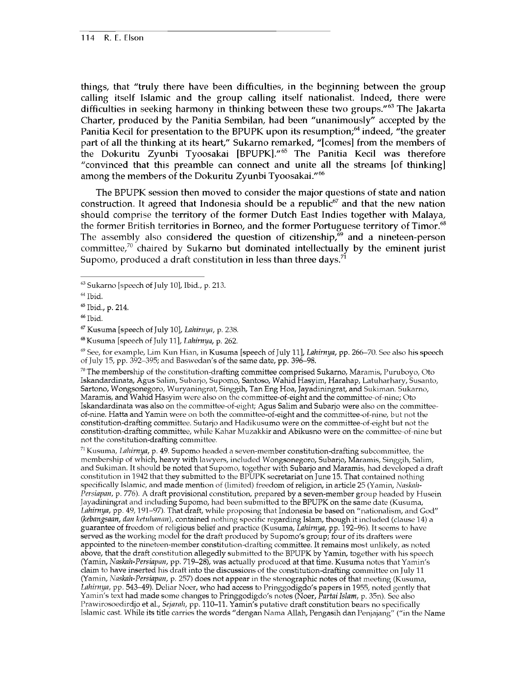things, that "truly there have been difficulties, in the beginning between the group calling itself Islamic and the group calling itself nationalist. Indeed, there were difficulties in seeking harmony in thinking between these two groups."<sup>63</sup> The Jakarta Charter, produced by the Panitia Sembilan, had been "unanimously" accepted by the Panitia Kecil for presentation to the BPUPK upon its resumption;<sup>64</sup> indeed, "the greater part of all the thinking at its heart," Sukarno remarked, "[comes] from the members of the Dokuritu Zyunbi Tyoosakai [BPUPK]."65 The Panitia Kecil was therefore "convinced that this preamble can connect and unite all the streams [of thinking] among the members of the Dokuritu Zyunbi Tyoosakai."<sup>66</sup>

The BPUPK session then moved to consider the major questions of state and nation construction. It agreed that Indonesia should be a republic<sup>67</sup> and that the new nation should comprise the territory of the former Dutch East Indies together with Malaya, the former British territories in Borneo, and the former Portuguese territory of Timor.<sup>68</sup> The assembly also considered the question of citizenship, $\frac{69}{9}$  and a nineteen-person committee, $70$  chaired by Sukarno but dominated intellectually by the eminent jurist Supomo, produced a draft constitution in less than three days.<sup>71</sup>

*69* **See, for example, Lim Kun Hian, in Kusuma [speech of July 11],** *Lahirnya,* **pp. 266-70. See also his speech of July 15, pp. 392-395; and Baswedan's of the same date, pp. 396-98.**

**70 The membership of the constitution-drafting committee comprised Sukarno, Maramis, Puruboyo, Oto Iskandardinata, Agus Salim, Subarjo, Supomo, Santoso, Wahid Hasyim, Harahap, Latuharhary, Susanto, Sartono, Wongsonegoro, Wuryaningrat, Singgih, Tan Eng Hoa, Jayadiningrat, and Sukiman. Sukarno, Maramis, and Wahid Hasyim were also on the committee-of-eight and the committee-of-nine; Oto Iskandardinata was also on the committee-of-eight; Agus Salim and Subarjo were also on the committeeof-nine. Hatta and Yamin were on both the committee-of-eight and the committee-of-nine, but not the constitution-drafting committee. Sutarjo and Hadikusumo were on the committee-of-eight but not the constitution-drafting committee, while Kahar Muzakkir and Abikusno were on the committee-of-nine but not the constitution-drafting committee.**

**71 Kusuma,** *Lahirnya,* **p. 49. Supomo headed a seven-member constitution-drafting subcommittee, the membership of which, heavy with lawyers, included Wongsonegoro, Subarjo, Maramis, Singgih, Salim, and Sukiman. It should be noted that Supomo, together with Subarjo and Maramis, had developed a draft constitution in 1942 that they submitted to the BPUPK secretariat on June 15. That contained nothing specifically Islamic, and made mention of (limited) freedom of religion, in article 25 (Yamin,** *Naskah-Persiapan,* **p. 776). A draft provisional constitution, prepared by a seven-member group headed by Husein Jayadiningrat and including Supomo, had been submitted to the BPUPK on the same date (Kusuma,** *Lahirnya,* **pp. 49,191-97). That draft, while proposing that Indonesia be based on "nationalism, and God" (***kebangsaan, dan ketuhanan),* **contained nothing specific regarding Islam, though it included (clause 14) a guarantee of freedom of religious belief and practice (Kusuma,** *Lahirnya,* **pp. 192-96). It seems to have served as the working model for the draft produced by Supomo's group; four of its drafters were appointed to the nineteen-member constitution-drafting committee. It remains most unlikely, as noted above, that the draft constitution allegedly submitted to the BPUPK by Yamin, together with his speech (Yamin,** *Naskah-Persiapan,* **pp. 719-28), was actually produced at that time. Kusuma notes that Yamin's claim to have inserted his draft into the discussions of the constitution-drafting committee on July 11 (Yamin,** *Naskah-Persiapan,* **p. 257) does not appear in the stenographic notes of that meeting (Kusuma,** *Lahirnya,* **pp. 543-49). Deliar Noer, who had access to Pringgodigdo's papers in 1955, noted gently that Yamin's text had made some changes to Pringgodigdo's notes (Noer,** *Partai Islam,* **p. 35n). See also Prawirosoedirdjo et al.,** *Sejarah,* **pp. 110-11. Yamin's putative draft constitution bears no specifically Islamic cast. While its title carries the words "dengan Nama Allah, Pengasih dan Penjajang" ("in the Name**

**<sup>63</sup> Sukarno [speech of July 10], Ibid., p. 213.**

**<sup>64</sup> Ibid.**

**<sup>65</sup> Ibid., p. 214.**

**<sup>66</sup> Ibid.**

**<sup>67</sup> Kusuma [speech of July 10],** *Lahirnya,* **p. 238.**

**<sup>&</sup>quot; Kusuma [speech of July 11],** *Lahirnya,* **p. 262.**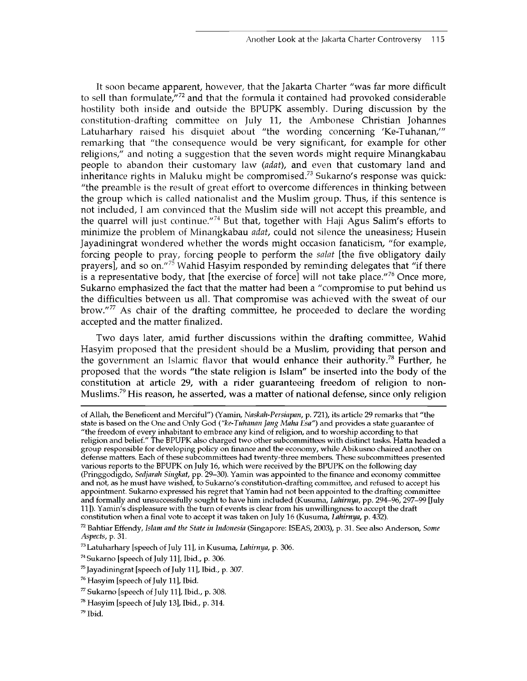It soon became apparent, however, that the Jakarta Charter "was far more difficult to sell than formulate,"72 and that the formula it contained had provoked considerable hostility both inside and outside the BPUPK assembly. During discussion by the constitution-drafting committee on July 11, the Ambonese Christian Johannes Latuharhary raised his disquiet about "the wording concerning 'Ke-Tuhanan,'" remarking that "the consequence would be very significant, for example for other religions," and noting a suggestion that the seven words might require Minangkabau people to abandon their customary law (*adat*), and even that customary land and inheritance rights in Maluku might be compromised.<sup>73</sup> Sukarno's response was quick: "the preamble is the result of great effort to overcome differences in thinking between the group which is called nationalist and the Muslim group. Thus, if this sentence is not included, I am convinced that the Muslim side will not accept this preamble, and the quarrel will just continue."<sup>74</sup> But that, together with Haji Agus Salim's efforts to minimize the problem of Minangkabau *adat,* could not silence the uneasiness; Husein Jayadiningrat wondered whether the words might occasion fanaticism, "for example, forcing people to pray, forcing people to perform the *salat* [the five obligatory daily prayers], and so on.<sup>"75</sup> Wahid Hasyim responded by reminding delegates that "if there is a representative body, that [the exercise of force] will not take place."<sup>76</sup> Once more, Sukarno emphasized the fact that the matter had been a "compromise to put behind us the difficulties between us all. That compromise was achieved with the sweat of our brow." $77$  As chair of the drafting committee, he proceeded to declare the wording accepted and the matter finalized.

Two days later, amid further discussions within the drafting committee, Wahid Hasyim proposed that the president should be a Muslim, providing that person and the government an Islamic flavor that would enhance their authority.<sup>78</sup> Further, he proposed that the words "the state religion is Islam" be inserted into the body of the constitution at article 29, with a rider guaranteeing freedom of religion to non-Muslims.<sup>79</sup> His reason, he asserted, was a matter of national defense, since only religion

**of Allah, the Beneficent and Merciful") (Yamin,** *Naskah-Persiapan,* **p. 721), its article 29 remarks that "the state is based on the One and Only God ("***ke-Tuhanart Jang Maha Esa")* **and provides a state guarantee of "the freedom of every inhabitant to embrace any kind of religion, and to worship according to that religion and belief." The BPUPK also charged two other subcommittees with distinct tasks. Hatta headed a group responsible for developing policy on finance and the economy, while Abikusno chaired another on defense matters. Each of these subcommittees had twenty-three members. These subcommittees presented various reports to the BPUPK on July 16, which were received by the BPUPK on the following day (Pringgodigdo,** *Sedjarah Singkat,* **pp. 29-30). Yamin was appointed to the finance and economy committee and not, as he must have wished, to Sukarno's constitution-drafting committee, and refused to accept his appointment. Sukarno expressed his regret that Yamin had not been appointed to the drafting committee and formally and unsuccessfully sought to have him included (Kusuma,** *Lahirnya,* **pp. 294-96, 297-99 [July 11]). Yamin's displeasure with the turn of events is clear from his unwillingness to accept the draft constitution when a final vote to accept it was taken on July 16 (Kusuma,** *Lahirnya,* **p. 432).**

**<sup>72</sup> Bahtiar Effendy,** *Islam and the State in Indonesia* **(Singapore: ISEAS, 2003), p. 31. See also Anderson,** *Some Aspects,* **p. 31.**

**<sup>73</sup> Latuharhary [speech of July 11], inKusuma,** *Lahirnya,* **p. 306.**

**<sup>74</sup> Sukarno [speech of July 11], Ibid., p. 306.**

**<sup>75</sup> Jayadiningrat [speech of July 11], Ibid., p. 307.**

**<sup>76</sup> Hasyim [speech of July 11], Ibid.**

**<sup>77</sup> Sukarno [speech of July 11], Ibid., p. 308.**

**<sup>78</sup> Hasyim [speech of July 13], Ibid., p. 314.**

**<sup>79</sup> Ibid.**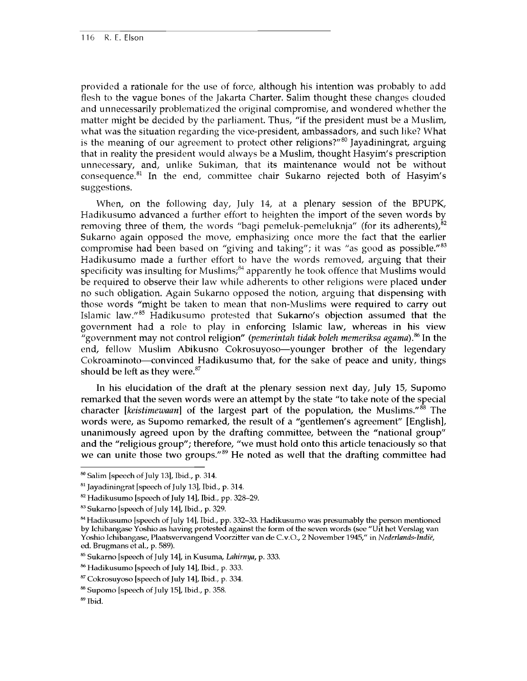provided a rationale for the use of force, although his intention was probably to add flesh to the vague bones of the Jakarta Charter. Salim thought these changes clouded and unnecessarily problematized the original compromise, and wondered whether the matter might be decided by the parliament. Thus, "if the president must be a Muslim, what was the situation regarding the vice-president, ambassadors, and such like? What is the meaning of our agreement to protect other religions?" $80$  Jayadiningrat, arguing that in reality the president would always be a Muslim, thought Hasyim's prescription unnecessary, and, unlike Sukiman, that its maintenance would not be without consequence.<sup>81</sup> In the end, committee chair Sukarno rejected both of Hasyim's suggestions.

When, on the following day, July 14, at a plenary session of the BPUPK, Hadikusumo advanced a further effort to heighten the import of the seven words by removing three of them, the words "bagi pemeluk-pemeluknja" (for its adherents), $^{82}$ Sukarno again opposed the move, emphasizing once more the fact that the earlier compromise had been based on "giving and taking"; it was "as good as possible."<sup>83</sup> Hadikusumo made a further effort to have the words removed, arguing that their specificity was insulting for Muslims; $84$  apparently he took offence that Muslims would be required to observe their law while adherents to other religions were placed under no such obligation. Again Sukarno opposed the notion, arguing that dispensing with those words "might be taken to mean that non-Muslims were required to carry out Islamic law."85 Hadikusumo protested that Sukarno's objection assumed that the government had a role to play in enforcing Islamic law, whereas in his view "government may not control religion" *(pemerintah tidak boleh memeriksa agama).86* In the end, fellow Muslim Abikusno Cokrosuyoso—younger brother of the legendary Cokroaminoto—convinced Hadikusumo that, for the sake of peace and unity, things should be left as they were. $87$ 

In his elucidation of the draft at the plenary session next day, July 15, Supomo remarked that the seven words were an attempt by the state "to take note of the special character [*keistimewaan*] of the largest part of the population, the Muslims."88 The words were, as Supomo remarked, the result of a "gentlemen's agreement" [English], unanimously agreed upon by the drafting committee, between the "national group" and the "religious group"; therefore, "we must hold onto this article tenaciously so that we can unite those two groups."<sup>89</sup> He noted as well that the drafting committee had

**<sup>80</sup> Salim [speech of July 13], Ibid., p. 314.**

**<sup>81</sup> Jayadiningrat [speech of July 13], Ibid., p. 314.**

**<sup>82</sup> Hadikusumo [speech of July 14], Ibid., pp. 328-29.**

**<sup>83</sup> Sukarno [speech of July 14], Ibid., p. 329.**

**<sup>84</sup> Hadikusumo [speech of July 14], Ibid., pp. 332-33. Hadikusumo was presumably the person mentioned by Ichibangase Yoshio as having protested against the form of the seven words (see "Uit het Verslag van Yoshio Ichibangase, Plaatsvervangend Voorzitter van de C.v.O., 2 November 1945," in** *Nederlands-Indi'e,* **ed. Brugmans et al., p. 589).**

**<sup>85</sup> Sukarno [speech of July 14], in Kusuma,** *Lahirnya,* **p. 333.**

**<sup>86</sup> Hadikusumo [speech of July 14], Ibid., p. 333.**

**<sup>87</sup> Cokrosuyoso [speech of July 14], Ibid., p. 334.**

**<sup>88</sup> Supomo [speech of July 15], Ibid., p. 358.**

**<sup>89</sup> Ibid.**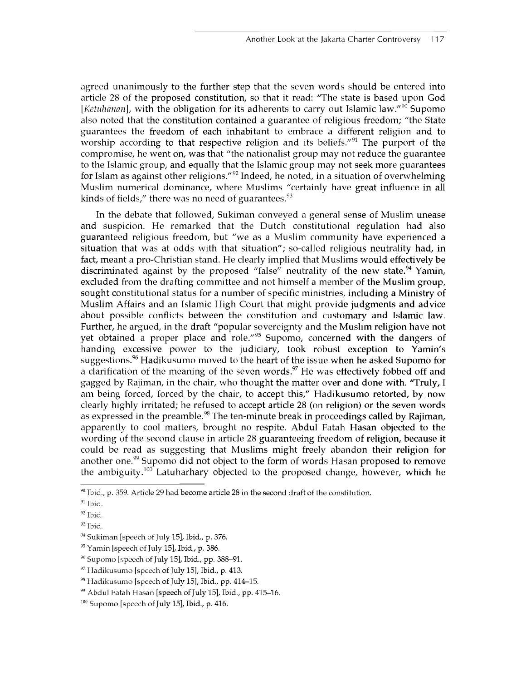agreed unanimously to the further step that the seven words should be entered into article 28 of the proposed constitution, so that it read: "The state is based upon God *[Ketuhanan]*, with the obligation for its adherents to carry out Islamic law."<sup>90</sup> Supomo also noted that the constitution contained a guarantee of religious freedom; "the State guarantees the freedom of each inhabitant to embrace a different religion and to worship according to that respective religion and its beliefs."<sup>91</sup> The purport of the compromise, he went on, was that "the nationalist group may not reduce the guarantee to the Islamic group, and equally that the Islamic group may not seek more guarantees for Islam as against other religions."<sup>92</sup> Indeed, he noted, in a situation of overwhelming Muslim numerical dominance, where Muslims "certainly have great influence in all kinds of fields," there was no need of guarantees. $93$ 

In the debate that followed, Sukiman conveyed a general sense of Muslim unease and suspicion. He remarked that the Dutch constitutional regulation had also guaranteed religious freedom, but "we as a Muslim community have experienced a situation that was at odds with that situation"; so-called religious neutrality had, in fact, meant a pro-Christian stand. He clearly implied that Muslims would effectively be discriminated against by the proposed "false" neutrality of the new state.<sup>94</sup> Yamin, excluded from the drafting committee and not himself a member of the Muslim group, sought constitutional status for a number of specific ministries, including a Ministry of Muslim Affairs and an Islamic High Court that might provide judgments and advice about possible conflicts between the constitution and customary and Islamic law. Further, he argued, in the draft "popular sovereignty and the Muslim religion have not yet obtained a proper place and role."<sup>95</sup> Supomo, concerned with the dangers of handing excessive power to the judiciary, took robust exception to Yamin's suggestions.<sup>96</sup> Hadikusumo moved to the heart of the issue when he asked Supomo for a clarification of the meaning of the seven words.<sup>97</sup> He was effectively fobbed off and gagged by Rajiman, in the chair, who thought the matter over and done with. 'Truly, I am being forced, forced by the chair, to accept this," Hadikusumo retorted, by now clearly highly irritated; he refused to accept article 28 (on religion) or the seven words as expressed in the preamble.<sup>98</sup> The ten-minute break in proceedings called by Rajiman, apparently to cool matters, brought no respite. Abdul Fatah Hasan objected to the wording of the second clause in article 28 guaranteeing freedom of religion, because it could be read as suggesting that Muslims might freely abandon their religion for another one.<sup>99</sup> Supomo did not object to the form of words Hasan proposed to remove the ambiguity.<sup>100</sup> Latuharhary objected to the proposed change, however, which he

**<sup>90</sup> Ibid., p. 359. Article 29 had become article 28 in the second draft of the constitution.**

**<sup>91</sup> Ibid.**

**<sup>92</sup> Ibid.**

**<sup>93</sup> Ibid.**

**<sup>94</sup> Sukiman [speech of July 15], Ibid., p. 376.**

**<sup>95</sup> Yamin [speech of July 15], Ibid., p. 386.**

**<sup>96</sup> Supomo [speech of July 15], Ibid., pp. 388-91.**

**<sup>97</sup> Hadikusumo [speech of July 15], Ibid., p. 413.**

**<sup>98</sup> Hadikusumo [speech of July 15], Ibid., pp. 414-15.**

**<sup>99</sup> Abdul Fatah Hasan [speech of July 15], Ibid., pp. 415-16.**

**<sup>100</sup> Supomo [speech of July 15], Ibid., p. 416.**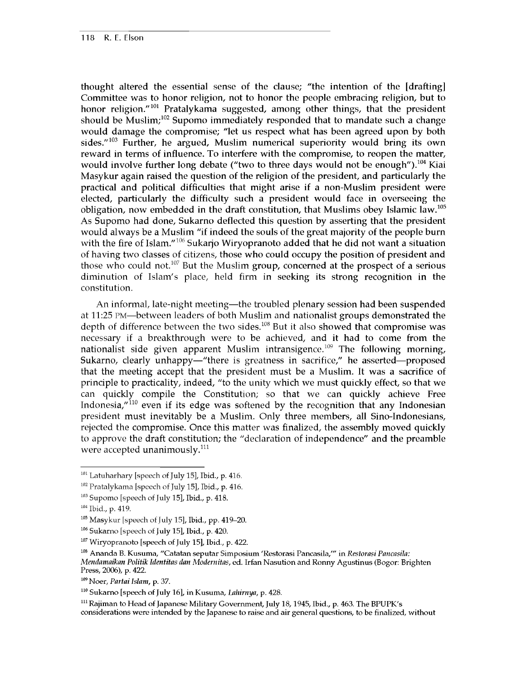thought altered the essential sense of the clause; "the intention of the [drafting] Committee was to honor religion, not to honor the people embracing religion, but to honor religion."<sup>101</sup> Pratalykama suggested, among other things, that the president should be Muslim;<sup>102</sup> Supomo immediately responded that to mandate such a change would damage the compromise; "let us respect what has been agreed upon by both sides. $103$  Further, he argued, Muslim numerical superiority would bring its own reward in terms of influence. To interfere with the compromise, to reopen the matter, would involve further long debate ("two to three days would not be enough").<sup>104</sup> Kiai Masykur again raised the question of the religion of the president, and particularly the practical and political difficulties that might arise if a non-Muslim president were elected, particularly the difficulty such a president would face in overseeing the obligation, now embedded in the draft constitution, that Muslims obey Islamic law.<sup>105</sup> As Supomo had done, Sukarno deflected this question by asserting that the president would always be a Muslim "if indeed the souls of the great majority of the people burn with the fire of Islam."106 Sukarjo Wiryopranoto added that he did not want a situation of having two classes of citizens, those who could occupy the position of president and those who could not.<sup>107</sup> But the Muslim group, concerned at the prospect of a serious diminution of Islam's place, held firm in seeking its strong recognition in the constitution.

An informal, late-night meeting—the troubled plenary session had been suspended at 11:25 **PM**—between leaders of both Muslim and nationalist groups demonstrated the depth of difference between the two sides.<sup>108</sup> But it also showed that compromise was necessary if a breakthrough were to be achieved, and it had to come from the nationalist side given apparent Muslim intransigence.<sup>109</sup> The following morning, Sukarno, clearly unhappy—"there is greatness in sacrifice," he asserted—proposed that the meeting accept that the president must be a Muslim. It was a sacrifice of principle to practicality, indeed, "to the unity which we must quickly effect, so that we can quickly compile the Constitution; so that we can quickly achieve Free Indonesia, $\frac{1}{100}$  even if its edge was softened by the recognition that any Indonesian president must inevitably be a Muslim. Only three members, all Sino-Indonesians, rejected the compromise. Once this matter was finalized, the assembly moved quickly to approve the draft constitution; the "declaration of independence" and the preamble were accepted unanimously.<sup>111</sup>

**109 Noer,** *Partai Islam,* **p. 37.**

**110 Sukarno [speech of July 16], in Kusuma,** *Lahirnya,* **p. 428.**

**111 Rajiman to Head of Japanese Military Government, July 18,1945, Ibid., p. 463. The BPUPK's considerations were intended by the Japanese to raise and air general questions, to be finalized, without**

**<sup>101</sup> Latuharhary [speech of July 15], Ibid., p. 416.**

**<sup>102</sup> Pratalykama [speech of July 15], Ibid., p. 416.**

**<sup>103</sup> Supomo [speech of July 15], Ibid., p. 418.**

**<sup>104</sup> Ibid., p. 419.**

**<sup>105</sup> Masykur [speech of July 15], Ibid., pp. 419-20.**

**<sup>106</sup> Sukarno [speech of July 15], Ibid., p. 420.**

**<sup>107</sup> Wiryopranoto [speech of July 15], Ibid., p. 422.**

**<sup>108</sup> Ananda B. Kusuma, "Catatan seputar Simposium 'Restorasi Pancasila/" in** *Restorasi Pancasila: Mendamaikan Politik Identitas dan Modernitas,* **ed. Irfan Nasution and Rortny Agustinus (Bogor: Brighten Press, 2006), p. 422.**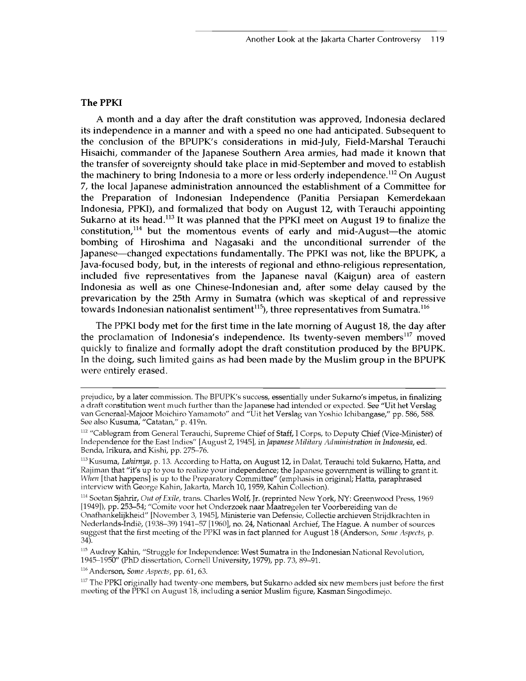#### **The PPKI**

A month and a day after the draft constitution was approved, Indonesia declared its independence in a manner and with a speed no one had anticipated. Subsequent to the conclusion of the BPUPK's considerations in mid-July, Field-Marshal Terauchi Hisaichi, commander of the Japanese Southern Area armies, had made it known that the transfer of sovereignty should take place in mid-September and moved to establish the machinery to bring Indonesia to a more or less orderly independence.<sup>112</sup> On August 7, the local Japanese administration announced the establishment of a Committee for the Preparation of Indonesian Independence (Panitia Persiapan Kemerdekaan Indonesia, PPKI), and formalized that body on August 12, with Terauchi appointing Sukarno at its head.<sup>113</sup> It was planned that the PPKI meet on August 19 to finalize the constitution, $114$  but the momentous events of early and mid-August—the atomic bombing of Hiroshima and Nagasaki and the unconditional surrender of the Japanese—changed expectations fundamentally. The PPKI was not, like the BPUPK, a Java-focused body, but, in the interests of regional and ethno-religious representation, included five representatives from the Japanese naval (Kaigun) area of eastern Indonesia as well as one Chinese-Indonesian and, after some delay caused by the prevarication by the 25th Army in Sumatra (which was skeptical of and repressive towards Indonesian nationalist sentiment<sup>115</sup>), three representatives from Sumatra.<sup>116</sup>

The PPKI body met for the first time in the late morning of August 18, the day after the proclamation of Indonesia's independence. Its twenty-seven members<sup>117</sup> moved quickly to finalize and formally adopt the draft constitution produced by the BPUPK. In the doing, such limited gains as had been made by the Muslim group in the BPUPK were entirely erased.

**116 Anderson,** *Some Aspects,* **pp. 61, 63.**

**prejudice, by a later commission. The BPUPK's success, essentially under Sukarno's impetus, in finalizing a draft constitution went much further than the Japanese had intended or expected. See "Uit het Verslag van Generaal-Majoor Moichiro Yamamoto" and "Uit het Verslag van Yoshio Ichibangase," pp. 586, 588. See also Kusuma, "Catatan," p. 419n.**

**<sup>112 &</sup>quot;Cablegram from General Terauchi, Supreme Chief of Staff, I Corps, to Deputy Chief (Vice-Minister) of Independence for the East Indies" [August 2,1945], in** *Japanese Military Administration in Indonesia,* **ed. Benda, Irikura, and Kishi, pp. 275-76.**

**<sup>113</sup>Kusuma,** *Lahirnya,* **p. 13. According to Hatta, on August 12, in Dalat, Terauchi told Sukarno, Hatta, and Rajiman that "it's up to you to realize your independence; the Japanese government is willing to grant it.** *When* [that happens] is up to the Preparatory Committee" (emphasis in original; Hatta, paraphrased **interview with George Kahin, Jakarta, March 10,1959, Kahin Collection).**

<sup>&</sup>lt;sup>114</sup> Soetan Sjahrir, *Out of Exile*, trans. Charles Wolf, Jr. (reprinted New York, NY: Greenwood Press, 1969 **[1949]), pp. 253-54; "Comite voor het Onderzoek naar Maatregelen ter Voorbereiding van de Onafhankelijkheid" [November 3, 1945], Ministerie van Defensie, Collectie archieven Strijdkrachten in Nederlands-Indie, (1938-39) 1941-57 [1960], no. 24, Nationaal Archief, The Hague. A number of sources suggest that the first meeting of the PPKI was in fact planned for August 18 (Anderson,** *Some Aspects,* **p. 34).**

**<sup>115</sup> Audrey Kahin, "Struggle for Independence: West Sumatra in the Indonesian National Revolution, 1945-1950" (PhD dissertation, Cornell University, 1979), pp. 73, 89-91.**

**<sup>117</sup> The PPKI originally had twenty-one members, but Sukarno added six new members just before the first meeting of the PPKI on August 18, including a senior Muslim figure, Kasman Singodimejo.**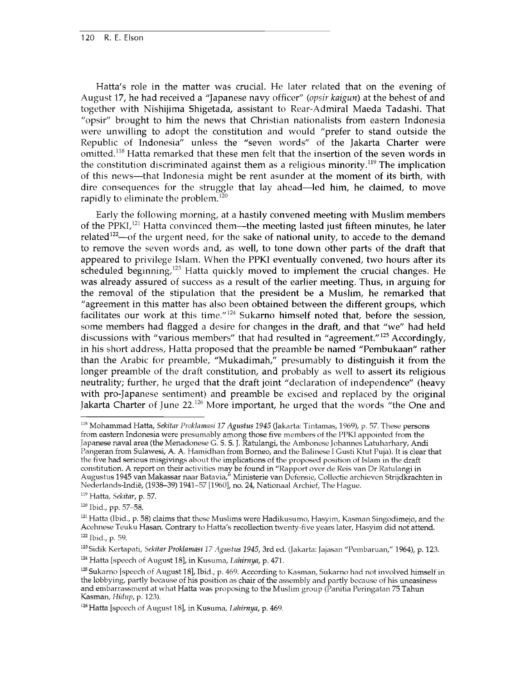Hatta's role in the matter was crucial. He later related that on the evening of August 17, he had received a "Japanese navy officer" *(opsir kaigun)* at the behest of and together with Nishijima Shigetada, assistant to Rear-Admiral Maeda Tadashi. That "opsir" brought to him the news that Christian nationalists from eastern Indonesia were unwilling to adopt the constitution and would "prefer to stand outside the Republic of Indonesia" unless the "seven words" of the Jakarta Charter were omitted.<sup>118</sup> Hatta remarked that these men felt that the insertion of the seven words in the constitution discriminated against them as a religious minority.<sup>119</sup> The implication of this news—that Indonesia might be rent asunder at the moment of its birth, with dire consequences for the struggle that lay ahead—led him, he claimed, to move rapidly to eliminate the problem.<sup>120</sup>

Early the following morning, at a hastily convened meeting with Muslim members of the PPKI $I<sub>121</sub>$  Hatta convinced them—the meeting lasted just fifteen minutes, he later related<sup>122</sup>—of the urgent need, for the sake of national unity, to accede to the demand to remove the seven words and, as well, to tone down other parts of the draft that appeared to privilege Islam. When the PPKI eventually convened, two hours after its scheduled beginning, $123$  Hatta quickly moved to implement the crucial changes. He was already assured of success as a result of the earlier meeting. Thus, in arguing for the removal of the stipulation that the president be a Muslim, he remarked that "agreement in this matter has also been obtained between the different groups, which facilitates our work at this time."<sup>124</sup> Sukarno himself noted that, before the session, some members had flagged a desire for changes in the draft, and that "we" had held discussions with "various members" that had resulted in "agreement."<sup>125</sup> Accordingly, in his short address, Hatta proposed that the preamble be named "Pembukaan" rather than the Arabic for preamble, "Mukadimah," presumably to distinguish it from the longer preamble of the draft constitution, and probably as well to assert its religious neutrality; further, he urged that the draft joint "declaration of independence" (heavy with pro-Japanese sentiment) and preamble be excised and replaced by the original Jakarta Charter of June 22.<sup>126</sup> More important, he urged that the words "the One and

**<sup>118</sup> Mohammad Hatta,** *Sekitar Proklamasi 17 Agustus 1945* **(Jakarta: Tintamas, 1969), p. 57. These persons from eastern Indonesia were presumably among those five members of the PPKI appointed from the Japanese naval area (the Menadonese G. S. S. J. Ratulangi, the Ambonese Johannes Latuharhary, Andi Pangeran from Sulawesi, A. A. Hamidhan from Borneo, and the Balinese I Gusti Ktut Puja). It is clear that the five had serious misgivings about the implications of the proposed position of Islam in the draft constitution. A report on their activities may be found in "Rapport over de Reis van Dr Ratulangi in Augustus 1945 van Makassar naar Batavia," Ministerie van Defensie, Collectie archieven Strijdkrachten in Nederlands-Indie, (1938-39) 1941-57 [1960], no. 24, Nationaal Archief, The Hague.**

**<sup>119</sup> Hatta,** *Sekitar,* **p. 57.**

**<sup>120</sup> Ibid., pp. 57-58.**

**<sup>121</sup> Hatta (Ibid., p. 58) claims that these Muslims were Hadikusumo, Hasyim, Kasman Singodimejo, and the Acehnese Teuku Hasan. Contrary to Hatta's recollection twenty-five years later, Hasyim did not attend. 122 Ibid., p. 59.**

**<sup>123</sup> Sidik Kertapati,** *Sekitar Proklamasi 17 Agustus 1945,* **3rd ed. (Jakarta: Jajasan "Pembaruan," 1964), p. 123. 124 Hatta [speech of August 18], in Kusuma,** *Lahirnya,* **p. 471.**

**<sup>125</sup> Sukarno [speech of August 18], Ibid., p. 469. According to Kasman, Sukarno had not involved himself in the lobbying, partly because of his position as chair of the assembly and partly because of his uneasiness and embarrassment at what Hatta was proposing to the Muslim group (Panitia Peringatan 75 Tahun Kasman,** *Hidup,* **p. 123).**

**<sup>126</sup> Hatta [speech of August 18], in Kusuma,** *Lahirnya,* **p. 469.**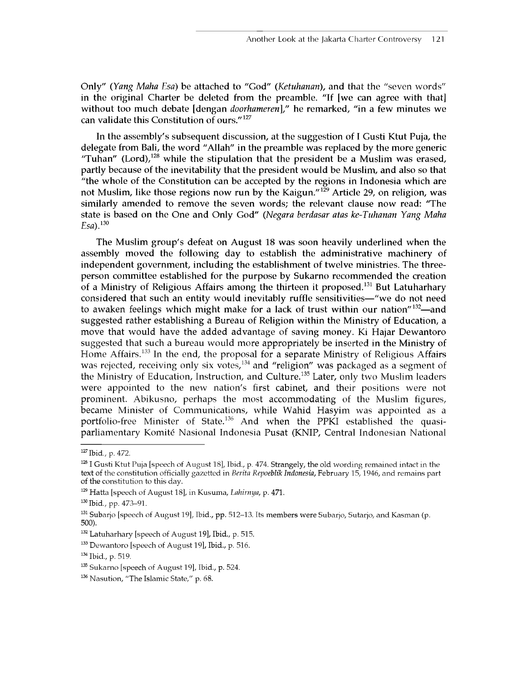Only" (*Yang Maha Esa)* be attached to "God" (*Ketuhanan*), and that the "seven words" in the original Charter be deleted from the preamble. "If [we can agree with that] without too much debate [dengan *doorhameren*]," he remarked, "in a few minutes we can validate this Constitution of ours."127

In the assembly's subsequent discussion, at the suggestion of I Gusti Ktut Puja, the delegate from Bali, the word "Allah" in the preamble was replaced by the more generic "Tuhan" (Lord), $128$  while the stipulation that the president be a Muslim was erased, partly because of the inevitability that the president would be Muslim, and also so that "the whole of the Constitution can be accepted by the regions in Indonesia which are not Muslim, like those regions now run by the Kaigun."<sup>129</sup> Article 29, on religion, was similarly amended to remove the seven words; the relevant clause now read: 'The state is based on the One and Only God" (*Negara berdasar atas ke-Tuhanan Yang Maha Esa).130*

The Muslim group's defeat on August 18 was soon heavily underlined when the assembly moved the following day to establish the administrative machinery of independent government, including the establishment of twelve ministries. The threeperson committee established for the purpose by Sukarno recommended the creation of a Ministry of Religious Affairs among the thirteen it proposed.<sup>131</sup> But Latuharhary considered that such an entity would inevitably ruffle sensitivities—"we do not need to awaken feelings which might make for a lack of trust within our nation"<sup>132</sup>—and suggested rather establishing a Bureau of Religion within the Ministry of Education, a move that would have the added advantage of saving money. Ki Hajar Dewantoro suggested that such a bureau would more appropriately be inserted in the Ministry of Home Affairs.<sup>133</sup> In the end, the proposal for a separate Ministry of Religious Affairs was rejected, receiving only six votes,  $134$  and "religion" was packaged as a segment of the Ministry of Education, Instruction, and Culture.<sup>135</sup> Later, only two Muslim leaders were appointed to the new nation's first cabinet, and their positions were not prominent. Abikusno, perhaps the most accommodating of the Muslim figures, became Minister of Communications, while Wahid Hasyim was appointed as a portfolio-free Minister of State.<sup>136</sup> And when the PPKI established the quasiparliamentary Komite Nasional Indonesia Pusat (KNIP, Central Indonesian National

**<sup>127</sup> Ibid., p. 472.**

**<sup>1281</sup> Gusti Ktut Puja [speech of August 18], Ibid., p. 474. Strangely, the old wording remained intact in the text of the constitution officially gazetted in** *Berita Repoeblik Indonesia,* **February 15,1946, and remains part of the constitution to this day.**

**<sup>129</sup> Hatta [speech of August 18], in Kusuma,** *Lahirnya,* **p. 471.**

**<sup>130</sup> Ibid., pp. 473-91.**

**<sup>131</sup> Subarjo [speech of August 19], Ibid., pp. 512-13. Its members were Subarjo, Sutarjo, and Kasman (p. 500).**

**<sup>132</sup> Latuharhary [speech of August 19], Ibid., p. 515.**

**<sup>133</sup> Dewantoro [speech of August 19], Ibid., p. 516.**

**<sup>134</sup> Ibid., p. 519.**

**<sup>135</sup> Sukarno [speech of August 19], Ibid., p. 524.**

**<sup>136</sup> Nasution, "The Islamic State," p. 68.**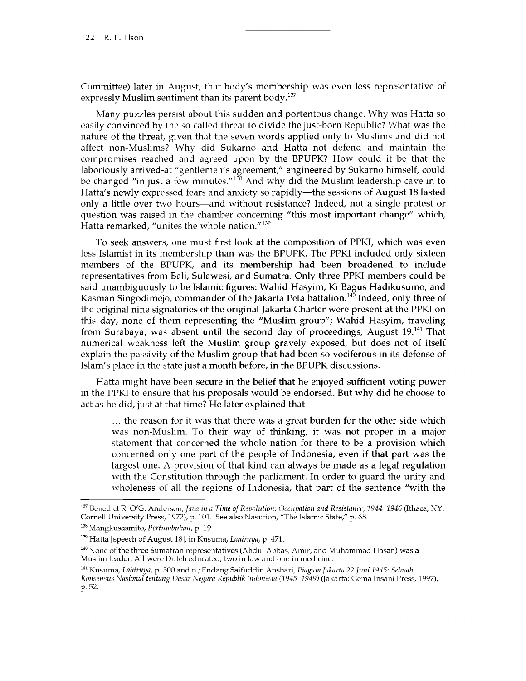Committee) later in August, that body's membership was even less representative of expressly Muslim sentiment than its parent body.<sup>137</sup>

Many puzzles persist about this sudden and portentous change. Why was Hatta so easily convinced by the so-called threat to divide the just-born Republic? What was the nature of the threat, given that the seven words applied only to Muslims and did not affect non-Muslims? Why did Sukarno and Hatta not defend and maintain the compromises reached and agreed upon by the BPUPK? How could it be that the laboriously arrived-at "gentlemen's agreement," engineered by Sukarno himself, could be changed "in just a few minutes."<sup>138</sup> And why did the Muslim leadership cave in to Hatta's newly expressed fears and anxiety so rapidly—the sessions of August 18 lasted only a little over two hours—and without resistance? Indeed, not a single protest or question was raised in the chamber concerning "this most important change" which, Hatta remarked, "unites the whole nation."<sup>139</sup>

To seek answers, one must first look at the composition of PPKI, which was even less Islamist in its membership than was the BPUPK. The PPKI included only sixteen members of the BPUPK, and its membership had been broadened to include representatives from Bali, Sulawesi, and Sumatra. Only three PPKI members could be said unambiguously to be Islamic figures: Wahid Hasyim, Ki Bagus Hadikusumo, and Kasman Singodimejo, commander of the Jakarta Peta battalion.<sup>140</sup> Indeed, only three of the original nine signatories of the original Jakarta Charter were present at the PPKI on this day, none of them representing the "Muslim group"; Wahid Hasyim, traveling from Surabaya, was absent until the second day of proceedings, August 19.<sup>141</sup> That numerical weakness left the Muslim group gravely exposed, but does not of itself explain the passivity of the Muslim group that had been so vociferous in its defense of Islam's place in the state just a month before, in the BPUPK discussions.

Hatta might have been secure in the belief that he enjoyed sufficient voting power in the PPKI to ensure that his proposals would be endorsed. But why did he choose to act as he did, just at that time? He later explained that

... the reason for it was that there was a great burden for the other side which was non-Muslim. To their way of thinking, it was not proper in a major statement that concerned the whole nation for there to be a provision which concerned only one part of the people of Indonesia, even if that part was the largest one. A provision of that kind can always be made as a legal regulation with the Constitution through the parliament. In order to guard the unity and wholeness of all the regions of Indonesia, that part of the sentence "with the

<sup>137</sup> Benedict R. O'G. Anderson, *Java in a Time of Revolution: Occupation and Resistance, 1944-1946* (Ithaca, NY: **Cornell University Press, 1972), p. 101. See also Nasution, "The Islamic State," p. 68.**

**<sup>138</sup> Mangkusasmito,** *Pertumbuhan,* **p. 19.**

**<sup>139</sup> Hatta [speech of August 18], in Kusuma,** *Lahirnya,* **p. 471.**

**<sup>140</sup> None of the three Sumatran representatives (Abdul Abbas, Amir, and Muhammad Hasan) was a Muslim leader. All were Dutch educated, two in law and one in medicine.**

**<sup>141</sup> Kusuma,** *Lahirnya,* **p. 500 and n.; Endang Saifuddin Anshari,** *Piagam Jakarta 22 Juni 1945: Sebuah*

*Konsensus Nasional tentang Dasar Negara Republik Indonesia (1945-1949)* **(Jakarta: Gema Insani Press, 1997), p. 52.**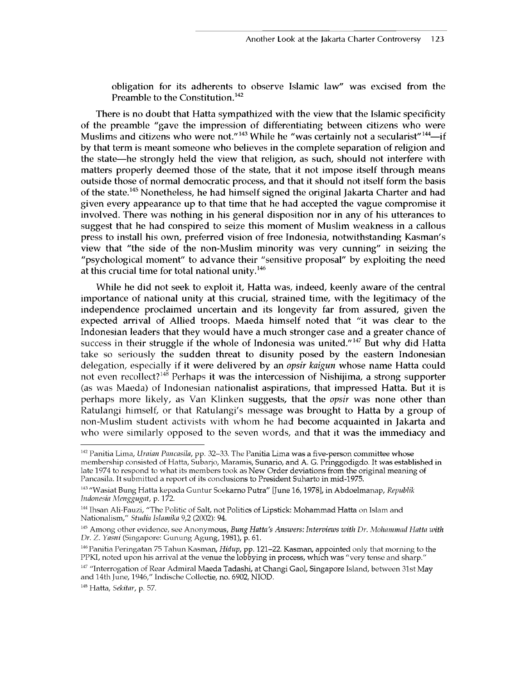obligation for its adherents to observe Islamic law" was excised from the Preamble to the Constitution.<sup>142</sup>

There is no doubt that Hatta sympathized with the view that the Islamic specificity of the preamble "gave the impression of differentiating between citizens who were Muslims and citizens who were not."<sup>143</sup> While he "was certainly not a secularist"<sup>144</sup>—if by that term is meant someone who believes in the complete separation of religion and the state—he strongly held the view that religion, as such, should not interfere with matters properly deemed those of the state, that it not impose itself through means outside those of normal democratic process, and that it should not itself form the basis of the state.145 Nonetheless, he had himself signed the original Jakarta Charter and had given every appearance up to that time that he had accepted the vague compromise it involved. There was nothing in his general disposition nor in any of his utterances to suggest that he had conspired to seize this moment of Muslim weakness in a callous press to install his own, preferred vision of free Indonesia, notwithstanding Kasman's view that "the side of the non-Muslim minority was very cunning" in seizing the "psychological moment" to advance their "sensitive proposal" by exploiting the need at this crucial time for total national unity. $146$ 

While he did not seek to exploit it, Hatta was, indeed, keenly aware of the central importance of national unity at this crucial, strained time, with the legitimacy of the independence proclaimed uncertain and its longevity far from assured, given the expected arrival of Allied troops. Maeda himself noted that "it was clear to the Indonesian leaders that they would have a much stronger case and a greater chance of success in their struggle if the whole of Indonesia was united."<sup>147</sup> But why did Hatta take so seriously the sudden threat to disunity posed by the eastern Indonesian delegation, especially if it were delivered by an *opsir kaigun* whose name Hatta could not even recollect?<sup>148</sup> Perhaps it was the intercession of Nishijima, a strong supporter (as was Maeda) of Indonesian nationalist aspirations, that impressed Hatta. But it is perhaps more likely, as Van Klinken suggests, that the *opsir* was none other than Ratulangi himself, or that Ratulangi's message was brought to Hatta by a group of non-Muslim student activists with whom he had become acquainted in Jakarta and who were similarly opposed to the seven words, and that it was the immediacy and

**<sup>142</sup> Panitia Lima,** *Uraian Pancasila,* **pp. 32-33. The Panitia Lima was a five-person committee whose membership consisted of Hatta, Subarjo, Maramis, Sunario, and A. G. Pringgodigdo. It was established in late 1974 to respond to what its members took as New Order deviations from the original meaning of Pancasila. It submitted a report of its conclusions to President Suharto in mid-1975.**

**<sup>143 &</sup>quot;Wasiat Bung Hatta kepada Guntur Soekarno Putra" [June 16,1978], in Abdoelmanap,** *Republik Indonesia Menggugat,* **p. 172.**

**<sup>144</sup> Ihsan Ali-Fauzi, "The Politic of Salt, not Politics of Lipstick: Mohammad Hatta on Islam and Nationalism,"** *Studia Islamika* **9,2 (2002): 94.**

**<sup>145</sup> Among other evidence, see Anonymous,** *Bung Hatta's Answers: Interviews with Dr. Mohammad Hatta with Dr.* Z. *Yasni* **(Singapore: Gunung Agung, 1981), p. 61.**

**<sup>146</sup>Panitia Peringatan 75 Tahun Kasman,** *Hidup,* **pp. 121-22. Kasman, appointed only that morning to the PPKI, noted upon his arrival at the venue the lobbying in process, which was "very tense and sharp."**

**<sup>147 &</sup>quot;Interrogation of Rear Admiral Maeda Tadashi, at Changi Gaol, Singapore Island, between 31st May and 14th June, 1946," Indische Collectie, no. 6902, NIOD.**

**<sup>148</sup> Hatta,** *Sekitar,* **p. 57.**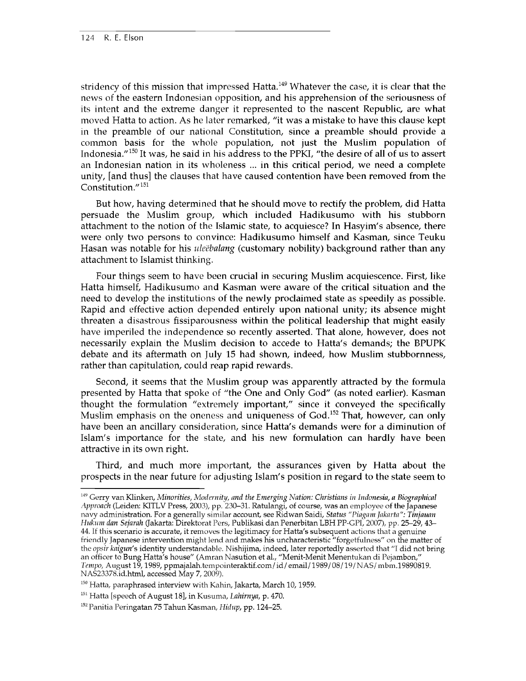stridency of this mission that impressed Hatta.<sup>149</sup> Whatever the case, it is clear that the news of the eastern Indonesian opposition, and his apprehension of the seriousness of its intent and the extreme danger it represented to the nascent Republic, are what moved Hatta to action. As he later remarked, "it was a mistake to have this clause kept in the preamble of our national Constitution, since a preamble should provide a common basis for the whole population, not just the Muslim population of Indonesia."150 It was, he said in his address to the PPKI, "the desire of all of us to assert an Indonesian nation in its wholeness ... in this critical period, we need a complete unity, [and thus] the clauses that have caused contention have been removed from the Constitution."151

But how, having determined that he should move to rectify the problem, did Hatta persuade the Muslim group, which included Hadikusumo with his stubborn attachment to the notion of the Islamic state, to acquiesce? In Hasyim's absence, there were only two persons to convince: Hadikusumo himself and Kasman, since Teuku Hasan was notable for his *ule'ebalang* (customary nobility) background rather than any attachment to Islamist thinking.

Four things seem to have been crucial in securing Muslim acquiescence. First, like Hatta himself, Hadikusumo and Kasman were aware of the critical situation and the need to develop the institutions of the newly proclaimed state as speedily as possible. Rapid and effective action depended entirely upon national unity; its absence might threaten a disastrous fissiparousness within the political leadership that might easily have imperiled the independence so recently asserted. That alone, however, does not necessarily explain the Muslim decision to accede to Hatta's demands; the BPUPK debate and its aftermath on July 15 had shown, indeed, how Muslim stubbornness, rather than capitulation, could reap rapid rewards.

Second, it seems that the Muslim group was apparently attracted by the formula presented by Hatta that spoke of "the One and Only God" (as noted earlier). Kasman thought the formulation "extremely important," since it conveyed the specifically Muslim emphasis on the oneness and uniqueness of God.<sup>152</sup> That, however, can only have been an ancillary consideration, since Hatta's demands were for a diminution of Islam's importance for the state, and his new formulation can hardly have been attractive in its own right.

Third, and much more important, the assurances given by Hatta about the prospects in the near future for adjusting Islam's position in regard to the state seem to

**<sup>149</sup> Gerry van Klinken,** *Minorities, Modernity, and the Emerging Nation: Christians in Indonesia, a Biographical Approach* **(Leiden: KITLV Press, 2003), pp. 230-31. Ratulangi, of course, was an employee of the Japanese navy administration. For a generally similar account, see Ridwan Saidi,** *Status "Piagam Jakarta": Tinjauan Hukum dan Sejarah* **(Jakarta: Direktorat Pers, Publikasi dan Penerbitan LBH PP-GPI, 2007), pp. 25-29, 43- 44. If this scenario is accurate, it removes the legitimacy for Hatta's subsequent actions that a genuine friendly Japanese intervention might lend and makes his uncharacteristic "forgetfulness" on the matter of the** *opsir kaigun's* **identity understandable. Nishijima, indeed, later reportedly asserted that "I did not bring an officer to Bung Hatta's house" (Amran Nasution et al., "Menit-Menit Menentukan di Pejambon,"** *Tempo,* **August 19,1989, ppmajalah.tempointeraktif.com/id/email/1989/08/19/NAS/mbm.19890819. NAS23378.id.html, accessed May 7, 2009).**

**<sup>150</sup> Hatta, paraphrased interview with Kahin, Jakarta, March 10,1959.**

**<sup>151</sup> Hatta [speech of August 18], in Kusuma,** *Lahirnya,* **p. 470.**

**<sup>152</sup>Panitia Peringatan 75 Tahun Kasman,** *Hidup,* **pp. 124-25.**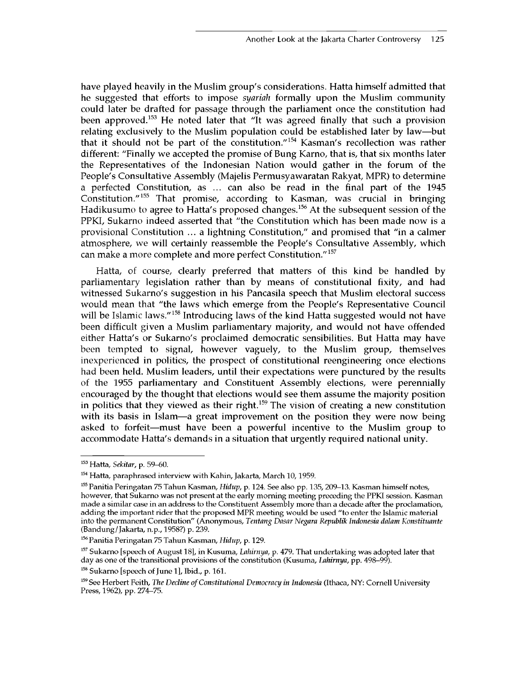have played heavily in the Muslim group's considerations. Hatta himself admitted that he suggested that efforts to impose *syariah* formally upon the Muslim community could later be drafted for passage through the parliament once the constitution had been approved.<sup>153</sup> He noted later that "It was agreed finally that such a provision relating exclusively to the Muslim population could be established later by law—but that it should not be part of the constitution."154 Kasman's recollection was rather different: "Finally we accepted the promise of Bung Karno, that is, that six months later the Representatives of the Indonesian Nation would gather in the forum of the People's Consultative Assembly (Majelis Permusyawaratan Rakyat, MPR) to determine a perfected Constitution, as ... can also be read in the final part of the 1945 Constitution."155 That promise, according to Kasman, was crucial in bringing Hadikusumo to agree to Hatta's proposed changes.156 At the subsequent session of the PPKI, Sukarno indeed asserted that "the Constitution which has been made now is a provisional Constitution ... a lightning Constitution," and promised that "in a calmer atmosphere, we will certainly reassemble the People's Consultative Assembly, which can make a more complete and more perfect Constitution."<sup>157</sup>

Hatta, of course, clearly preferred that matters of this kind be handled by parliamentary legislation rather than by means of constitutional fixity, and had witnessed Sukarno's suggestion in his Pancasila speech that Muslim electoral success would mean that "the laws which emerge from the People's Representative Council will be Islamic laws."<sup>158</sup> Introducing laws of the kind Hatta suggested would not have been difficult given a Muslim parliamentary majority, and would not have offended either Hatta's or Sukarno's proclaimed democratic sensibilities. But Hatta may have been tempted to signal, however vaguely, to the Muslim group, themselves inexperienced in politics, the prospect of constitutional reengineering once elections had been held. Muslim leaders, until their expectations were punctured by the results of the 1955 parliamentary and Constituent Assembly elections, were perennially encouraged by the thought that elections would see them assume the majority position in politics that they viewed as their right.<sup>159</sup> The vision of creating a new constitution with its basis in Islam—a great improvement on the position they were now being asked to forfeit—must have been a powerful incentive to the Muslim group to accommodate Hatta's demands in a situation that urgently required national unity.

**<sup>153</sup> Hatta,** *Sekitar,* **p. 59-60.**

<sup>&</sup>lt;sup>154</sup> Hatta, paraphrased interview with Kahin, Jakarta, March 10, 1959.

**<sup>155</sup> Panitia Peringatan 75 Tahun Kasman,** *Hidup,* **p. 124. See also pp. 135, 209-13. Kasman himself notes, however, that Sukarno was not present at the early morning meeting preceding the PPKI session. Kasman made a similar case in an address to the Constituent Assembly more than a decade after the proclamation, adding the important rider that the proposed MPR meeting would be used "to enter the Islamic material into the permanent Constitution" (Anonymous,** *Tentang Dasar Negara Republik Indonesia dalam Konstituante* **(Bandung/Jakarta, n.p., 1958?) p. 239.**

**<sup>156</sup> Panitia Peringatan 75 Tahun Kasman,** *Hidup,* **p. 129.**

**<sup>157</sup> Sukarno [speech of August 18], in Kusuma,** *Lahirnya,* **p. 479. That undertaking was adopted later that day as one of the transitional provisions of the constitution (Kusuma,** *Lahirnya,* **pp. 498-99).**

**<sup>158</sup> Sukarno [speech of June 1], Ibid., p. 161.**

**<sup>159</sup> See Herbert Feith,** *The Decline of Constitutional Democracy in Indonesia* **(Ithaca, NY: Cornell University Press, 1962), pp. 274-75.**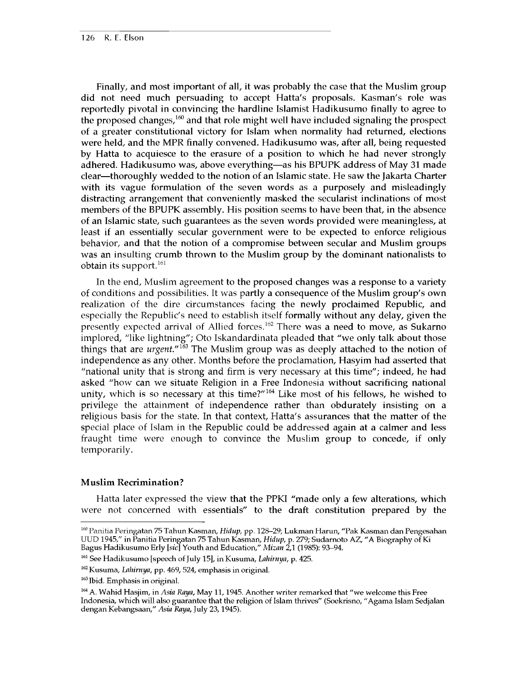Finally, and most important of all, it was probably the case that the Muslim group did not need much persuading to accept Hatta's proposals. Kasman's role was reportedly pivotal in convincing the hardline Islamist Hadikusumo finally to agree to the proposed changes, $160$  and that role might well have included signaling the prospect of a greater constitutional victory for Islam when normality had returned, elections were held, and the MPR finally convened. Hadikusumo was, after all, being requested by Hatta to acquiesce to the erasure of a position to which he had never strongly adhered. Hadikusumo was, above everything—as his BPUPK address of May 31 made clear—thoroughly wedded to the notion of an Islamic state. He saw the Jakarta Charter with its vague formulation of the seven words as a purposely and misleadingly distracting arrangement that conveniently masked the secularist inclinations of most members of the BPUPK assembly. His position seems to have been that, in the absence of an Islamic state, such guarantees as the seven words provided were meaningless, at least if an essentially secular government were to be expected to enforce religious behavior, and that the notion of a compromise between secular and Muslim groups was an insulting crumb thrown to the Muslim group by the dominant nationalists to obtain its support.<sup>161</sup>

In the end, Muslim agreement to the proposed changes was a response to a variety of conditions and possibilities. It was partly a consequence of the Muslim group's own realization of the dire circumstances facing the newly proclaimed Republic, and especially the Republic's need to establish itself formally without any delay, given the presently expected arrival of Allied forces.<sup>162</sup> There was a need to move, as Sukarno implored, "like lightning"; Oto Iskandardinata pleaded that "we only talk about those things that are *urgent."163* The Muslim group was as deeply attached to the notion of independence as any other. Months before the proclamation, Hasyim had asserted that "national unity that is strong and firm is very necessary at this time"; indeed, he had asked "how can we situate Religion in a Free Indonesia without sacrificing national unity, which is so necessary at this time?" $164$  Like most of his fellows, he wished to privilege the attainment of independence rather than obdurately insisting on a religious basis for the state. In that context, Hatta's assurances that the matter of the special place of Islam in the Republic could be addressed again at a calmer and less fraught time were enough to convince the Muslim group to concede, if only temporarily.

#### **Muslim Recrimination?**

Hatta later expressed the view that the PPKI "made only a few alterations, which were not concerned with essentials" to the draft constitution prepared by the

**<sup>160</sup> Panitia Peringatan 75 Tahun Kasman,** *Hidup,* **pp. 128-29; Lukman Harun, "Pak Kasman dan Pengesahan UUD 1945," in Panitia Peringatan 75 Tahun Kasman,** *Hidup,* **p. 279; Sudarnoto AZ, "A Biography of Ki Bagus Hadikusumo Erly [sic] Youth and Education,"** *Mizan* **2,1 (1985): 93-94.**

**<sup>161</sup> See Hadikusumo [speech of July 15], in Kusuma,** *Lahirnya,* **p. 425.**

**<sup>162</sup> Kusuma,** *Lahirnya,* **pp. 469, 524, emphasis in original.**

**<sup>163</sup> Ibid. Emphasis in original.**

**<sup>164</sup> A. Wahid Hasjim, in** *Asia Raya,* **May 11,1945. Another writer remarked that "we welcome this Free Indonesia, which will also guarantee that the religion of Islam thrives" (Soekrisno, " Agama Islam Sedjalan dengan Kebangsaan,"** *Asia Raya,* **July 23,1945).**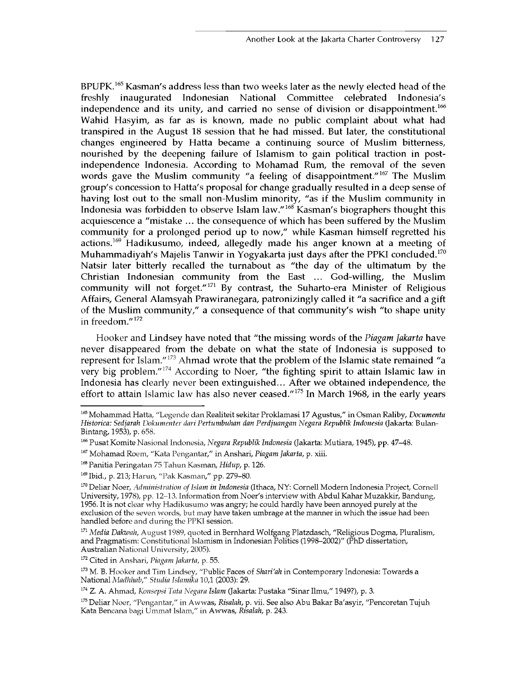BPUPK.165 Kasman's address less than two weeks later as the newly elected head of the freshly inaugurated Indonesian National Committee celebrated Indonesia's independence and its unity, and carried no sense of division or disappointment.<sup>166</sup> Wahid Hasyim, as far as is known, made no public complaint about what had transpired in the August 18 session that he had missed. But later, the constitutional changes engineered by Hatta became a continuing source of Muslim bitterness, nourished by the deepening failure of Islamism to gain political traction in postindependence Indonesia. According to Mohamad Rum, the removal of the seven words gave the Muslim community "a feeling of disappointment."<sup>167</sup> The Muslim group's concession to Hatta's proposal for change gradually resulted in a deep sense of having lost out to the small non-Muslim minority, "as if the Muslim community in Indonesia was forbidden to observe Islam law."168 Kasman's biographers thought this acquiescence a "mistake ... the consequence of which has been suffered by the Muslim community for a prolonged period up to now," while Kasman himself regretted his actions.<sup>169</sup> Hadikusumo, indeed, allegedly made his anger known at a meeting of Muhammadiyah's Majelis Tanwir in Yogyakarta just days after the PPKI concluded.<sup>170</sup> Natsir later bitterly recalled the turnabout as "the day of the ultimatum by the Christian Indonesian community from the East ... God-willing, the Muslim community will not forget." $171$  By contrast, the Suharto-era Minister of Religious Affairs, General Alamsyah Prawiranegara, patronizingly called it "a sacrifice and a gift of the Muslim community," a consequence of that community's wish "to shape unity in freedom."172

Hooker and Lindsey have noted that "the missing words of the *Piagarn Jakarta* have never disappeared from the debate on what the state of Indonesia is supposed to represent for Islam."173 Ahmad wrote that the problem of the Islamic state remained "a very big problem."<sup>174</sup> According to Noer, "the fighting spirit to attain Islamic law in Indonesia has clearly never been extinguished... After we obtained independence, the effort to attain Islamic law has also never ceased."<sup>175</sup> In March 1968, in the early years

*<sup>165</sup>* **Mohammad Hatta, "Legende dan Realiteit sekitar Proklamasi 17 Agustus," in Osman Raliby,** *Documenta Historical Sedjarah Dokumenter dari Pertumbuhan dan Perdjuangan Negara Republik Indonesia* **(Jakarta: Bulan-Bintang, 1953), p. 658.**

**<sup>166</sup> Pusat Komite Nasional Indonesia,** *Negara Republik Indonesia* **(Jakarta: Mu tiara, 1945), pp. 47-48.**

**<sup>167</sup> Mohamad Roem, "Kata Pengantar," in Anshari,** *Piagam Jakarta,* **p. xiii.**

**<sup>168</sup> Panitia Peringatan 75 Tahun Kasman,** *Hidup,* **p. 126.**

**<sup>169</sup> Ibid., p. 213; Harun, "Pak Kasman," pp. 279-80.**

**<sup>170</sup> Deliar Noer,** *Administration of Islam in Indonesia* **(Ithaca, NY: Cornell Modern Indonesia Project, Cornell University, 1978), pp. 12-13. Information from Noer's interview with Abdul Kahar Muzakkir, Bandung, 1956. It is not clear why Hadikusumo was angry; he could hardly have been annoyed purely at the exclusion of the seven words, but may have taken umbrage at the manner in which the issue had been handled before and during the PPKI session.**

**<sup>171</sup>***Media Dakwah,* **August 1989, quoted in Bernhard Wolfgang Platzdasch, "Religious Dogma, Pluralism, and Pragmatism: Constitutional Islamism in Indonesian Politics (1998-2002)" (PhD dissertation, Australian National University, 2005).**

**<sup>172</sup> Cited in Anshari,** *Piagam Jakarta,* **p. 55.**

**<sup>173</sup> M. B. Hooker and Tim Lindsey, "Public Faces of** *Shari'ah* **in Contemporary Indonesia: Towards a National** *Madhhab," Studia Islamika* **10,1 (2003): 29.**

**<sup>174</sup> Z. A. Ahmad,** *Konsepsi Tata Negara Islam* **(Jakarta: Pustaka "Sinar Ilmu," 1949?), p. 3.**

**<sup>175</sup> Deliar Noer, "Pengantar," in Awwas,** *Risalah,* **p. vii. See also Abu Bakar Ba'asyir, "Pencoretan Tujuh Kata Bencana bagi Ummat Islam," in Awwas,** *Risalah,* **p. 243.**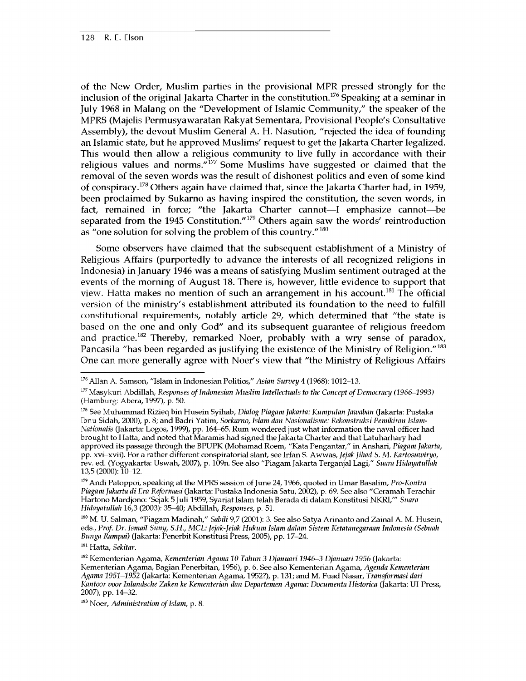of the New Order, Muslim parties in the provisional MPR pressed strongly for the inclusion of the original Jakarta Charter in the constitution.<sup>176</sup> Speaking at a seminar in July 1968 in Malang on the "Development of Islamic Community," the speaker of the MPRS (Majelis Permusyawaratan Rakyat Sementara, Provisional People's Consultative Assembly), the devout Muslim General A. H. Nasution, "rejected the idea of founding an Islamic state, but he approved Muslims' request to get the Jakarta Charter legalized. This would then allow a religious community to live fully in accordance with their religious values and norms. $\mathbf{r}^{177}$  Some Muslims have suggested or claimed that the removal of the seven words was the result of dishonest politics and even of some kind of conspiracy.<sup>178</sup> Others again have claimed that, since the Jakarta Charter had, in 1959, been proclaimed by Sukarno as having inspired the constitution, the seven words, in fact, remained in force; "the Jakarta Charter cannot—I emphasize cannot—be separated from the 1945 Constitution."179 Others again saw the words' reintroduction as "one solution for solving the problem of this country."180

Some observers have claimed that the subsequent establishment of a Ministry of Religious Affairs (purportedly to advance the interests of all recognized religions in Indonesia) in January 1946 was a means of satisfying Muslim sentiment outraged at the events of the morning of August 18. There is, however, little evidence to support that view. Hatta makes no mention of such an arrangement in his account.<sup>181</sup> The official version of the ministry's establishment attributed its foundation to the need to fulfill constitutional requirements, notably article 29, which determined that "the state is based on the one and only God" and its subsequent guarantee of religious freedom and practice.<sup>182</sup> Thereby, remarked Noer, probably with a wry sense of paradox, Pancasila "has been regarded as justifying the existence of the Ministry of Religion."<sup>183</sup> One can more generally agree with Noer's view that "the Ministry of Religious Affairs

**179 Andi Patoppoi, speaking at the MPRS session of June 24,1966, quoted in Umar Basalim,** *Pro-Kontra Piagam Jakarta di Era Reformasi* **(Jakarta: Pustaka Indonesia Satu, 2002), p. 69. See also "Ceramah Terachir Hartono Mardjono: 'Sejak 5 Juli 1959, Syariat Islam telah Berada di dalam Konstitusi NKRI/"** *Suara Hidayatullah* **16,3 (2003): 35—40; Abdillah,** *Responses,* **p. 51.**

**180 M. U. Salman, "Piagam Madinah,"** *Sabili* **9,7 (2001): 3. See also Satya Arinanto and Zainal A. M. Husein, eds.,** *Prof. Dr. Ismail Suny, S.H., MCE: Jejak-Jejak Hukum Islam dalam Sistem Ketatanegaraan Indonesia (Sebuah Bunga Rampai)* **(Jakarta: Penerbit Konstitusi Press, 2005), pp. 17-24.**

**181 Hatta,** *Sekitar.*

**<sup>176</sup> Allan A. Samson, "Islam in Indonesian Politics,"** *Asian Survey* **4 (1968): 1012-13.**

**<sup>177</sup>Masykuri Abdillah,** *Responses of Indonesian Muslim Intellectuals to the Concept of Democracy (1966-1993)* **(Hamburg: Abera, 1997), p. 50.**

**<sup>178</sup> See Muhammad Rizieq bin Husein Syihab,** *Dialog Piagam Jakarta: Kumpulan Jawaban* **(Jakarta: Pustaka Ibnu Sidah, 2000), p. 8; and Badri Yatim,** *Soekarno, Islam dan Nasionalisme: Rekonstruksi Pemikiran Islam-Nationalis* **(Jakarta: Logos, 1999), pp. 164—65. Rum wondered just what information the naval officer had brought to Hatta, and noted that Maramis had signed the Jakarta Charter and that Latuharhary had approved its passage through the BPUPK (Mohamad Roem, "Kata Pengantar," in Anshari,** *Piagam Jakarta,* **pp. xvi-xvii). For a rather different conspiratorial slant, see Irfan S. Awwas,** *Jejak Jihad S. M. Kartosuwiryo,* **rev. ed. (Yogyakarta: Uswah, 2007), p. 109n. See also "Piagam Jakarta Terganjal Lagi,"** *Suara Hidayatullah* **13,5 (2000): 10-12.**

**<sup>182</sup> Kementerian Agama,** *Kementerian Agama 10 Tahun 3 Djanuari 1946-3 Djanuari 1956* **(Jakarta: Kementerian Agama, Bagian Penerbitan, 1956), p. 6. See also Kementerian Agama,** *Agenda Kementerian Agama 1951-1952* **(Jakarta: Kementerian Agama, 1952?), p. 131; and M. Fuad Nasar,** *Transformasi dari Kantoor voor Inlandsche Zaken ke Kementerian dan Departemen Agama: Documenta Historica* **(Jakarta: Ul-Press, 2007), pp. 14-32.**

**<sup>183</sup> Noer,** *Administration of Islam,* **p. 8.**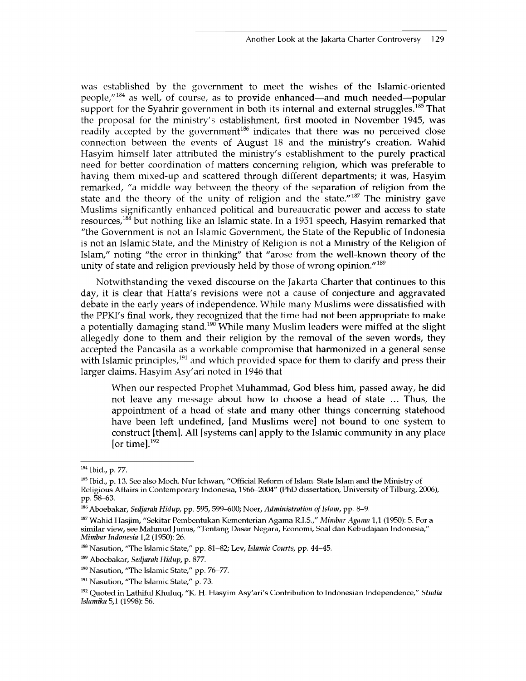was established by the government to meet the wishes of the Islamic-oriented people/'184 as well, of course, as to provide enhanced—and much needed—popular support for the Syahrir government in both its internal and external struggles.<sup>185</sup> That the proposal for the ministry's establishment, first mooted in November 1945, was readily accepted by the government<sup>186</sup> indicates that there was no perceived close connection between the events of August 18 and the ministry's creation. Wahid Hasyim himself later attributed the ministry's establishment to the purely practical need for better coordination of matters concerning religion, which was preferable to having them mixed-up and scattered through different departments; it was, Hasyim remarked, "a middle way between the theory of the separation of religion from the state and the theory of the unity of religion and the state."<sup>187</sup> The ministry gave Muslims significantly enhanced political and bureaucratic power and access to state resources,<sup>188</sup> but nothing like an Islamic state. In a 1951 speech, Hasyim remarked that "the Government is not an Islamic Government, the State of the Republic of Indonesia is not an Islamic State, and the Ministry of Religion is not a Ministry of the Religion of Islam," noting "the error in thinking" that "arose from the well-known theory of the unity of state and religion previously held by those of wrong opinion."<sup>189</sup>

Notwithstanding the vexed discourse on the Jakarta Charter that continues to this day, it is clear that Hatta's revisions were not a cause of conjecture and aggravated debate in the early years of independence. While many Muslims were dissatisfied with the PPKI's final work, they recognized that the time had not been appropriate to make a potentially damaging stand.<sup>190</sup> While many Muslim leaders were miffed at the slight allegedly done to them and their religion by the removal of the seven words, they accepted the Pancasila as a workable compromise that harmonized in a general sense with Islamic principles,  $191$  and which provided space for them to clarify and press their larger claims. Hasyim Asy'ari noted in 1946 that

When our respected Prophet Muhammad, God bless him, passed away, he did not leave any message about how to choose a head of state ... Thus, the appointment of a head of state and many other things concerning statehood have been left undefined, [and Muslims were] not bound to one system to construct [them]. All [systems can] apply to the Islamic community in any place [or time]. $192$ 

**<sup>184</sup> Ibid., p. 77.**

**<sup>185</sup> Ibid., p. 13. See also Moch. Nur Ichwan, "Official Reform of Islam: State Islam and the Ministry of Religious Affairs in Contemporary Indonesia, 1966-2004" (PhD dissertation, University of Tilburg, 2006), pp. 58-63.**

**<sup>186</sup> Aboebakar,** *Sedjarah Hidup,* **pp. 595, 599-600; Noer,** *Administration of Islam,* **pp. 8-9.**

**<sup>187</sup> Wahid Hasjim, "Sekitar Pembentukan Kementerian Agama R.I.S.,"** *Mimbar Agama* **1,1 (1950): 5. For a similar view, see Mahmud Junus, "Tentang Dasar Negara, Economi, Soal dan Kebudajaan Indonesia,"** *Mimbar Indonesia* **1,2 (1950): 26.**

**<sup>188</sup> Nasution, "The Islamic State," pp. 81-82; Lev,** *Islamic Courts,* **pp. 44—45.**

**<sup>189</sup> Aboebakar,** *Sedjarah Hidup,* **p. 877.**

**<sup>190</sup> Nasution, "The Islamic State," pp. 76-77.**

**<sup>191</sup> Nasution, "The Islamic State," p. 73.**

**<sup>192</sup> Quoted in Lathiful Khuluq, "K. H. Hasyim Asy'ari's Contribution to Indonesian Independence,"** *Studia Islamika* **5,1 (1998): 56.**